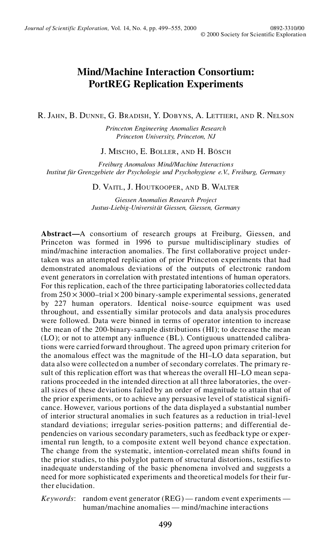# **Mind/Machine Interaction Consortium: PortREG Replication Experiments**

R. JAHN, B. DUNNE, G. BRADISH, Y. DOBYNS, A. LETTIERI, AND R. NELSON

*Princeton Engineering Anomalies Research Princeton University, Princeton, NJ*

J. MISCHO, E. BOLLER, AND H. BÖSCH

*Freiburg Anomalous Mind/Machine Interactions Institut für Grenzgebiete der Psychologie und Psychohygiene e.V., Freiburg, Germany*

D. VAITL, J. HOUTKOOPER, AND B. WALTER

*Giessen Anomalies Research Project Justus-Liebig-Universität Giessen, Giessen, Germany*

**Abstract—**A consortium of research groups at Freiburg, Giessen, and Princeton was formed in 1996 to pursue multidisciplinary studies of mind/machine interaction anomalies. The first collaborative project undertaken was an attempted replication of prior Princeton experiments that had demonstrated anomalous deviations of the outputs of electronic random event generators in correlation with prestated intentions of human operators. For this replication, each of the three participating laboratories collected data from  $250 \times 3000$ –trial  $\times 200$  binary-sample experimental sessions, generated by 227 human operators. Identical noise-source equipment was used throughout, and essentially similar protocols and data analysis procedures were followed. Data were binned in terms of operator intention to increase the mean of the 200-binary-sample distributions (HI); to decrease the mean (LO); or not to attempt any influence (BL). Contiguous unattended calibrations were carried forward throughout. The agreed upon primary criterion for the anomalous effect was the magnitude of the HI–LO data separation, but data also were collected on a number of secondary correlates. The primary re sult of this replication effort was that whereas the overall HI–LO mean separations proceeded in the intended direction at all three laboratories, the over all sizes of these deviations failed by an order of magnitude to attain that of the prior experiments, or to achieve any persuasive level of statistical signifi cance. However, various portions of the data displayed a substantial number of interior structural anomalies in such features as a reduction in trial-level standard deviations; irregular series-position patterns; and differential de pendencies on various secondary parameters, such as feedback type or experimental run length, to a composite extent well beyond chance expectation. The change from the systematic, intention-correlated mean shifts found in the prior studies, to this polyglot pattern of structural distortions, testifies to inadequate understanding of the basic phenomena involved and suggests a need for more sophisticated experiments and theoretical models for their further elucidation.

*Keywords*: random event generator (REG) — random event experiments human/machine anomalies — mind/machine interactions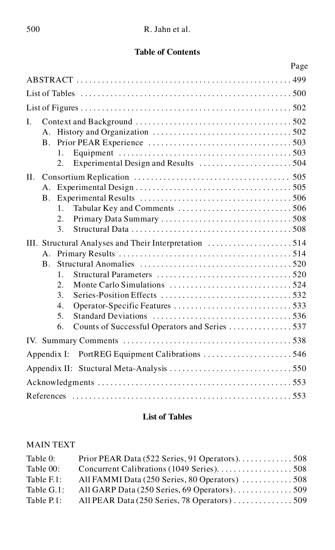# **Table of Contents**

|                                                                                                                                                                                                                                                                                           | Page |
|-------------------------------------------------------------------------------------------------------------------------------------------------------------------------------------------------------------------------------------------------------------------------------------------|------|
|                                                                                                                                                                                                                                                                                           |      |
|                                                                                                                                                                                                                                                                                           |      |
|                                                                                                                                                                                                                                                                                           |      |
| $\mathbf{L}$<br>$\mathbf{B}_{\cdot}$<br>$1_{-}$<br>2.                                                                                                                                                                                                                                     |      |
| II.<br>А.<br><b>B.</b><br>$1_{-}$<br>2.<br>3.                                                                                                                                                                                                                                             |      |
| III. Structural Analyses and Their Interpretation 514<br>$A_{\cdot}$<br>$\mathbf{B}$<br>$\mathbf{1}$ .<br>Structural Parameters $\ldots, \ldots, \ldots, \ldots, \ldots, \ldots, \ldots, 520$<br>2.5<br>3.<br>4.<br>5 <sub>1</sub><br>Counts of Successful Operators and Series 537<br>6. |      |
|                                                                                                                                                                                                                                                                                           |      |
| Appendix I: PortREG Equipment Calibrations 546                                                                                                                                                                                                                                            |      |
|                                                                                                                                                                                                                                                                                           |      |
|                                                                                                                                                                                                                                                                                           |      |
|                                                                                                                                                                                                                                                                                           |      |

# **List of Tables**

# MAIN TEXT

| Table 0:             | Prior PEAR Data (522 Series, 91 Operators). 508 |  |
|----------------------|-------------------------------------------------|--|
| Table 00:            |                                                 |  |
| Table $F_{\cdot}$ 1: | All FAMMI Data (250 Series, 80 Operators) 508   |  |
| Table G.1:           | All GARP Data (250 Series, 69 Operators). 509   |  |
| Table P.1:           | All PEAR Data (250 Series, 78 Operators)  509   |  |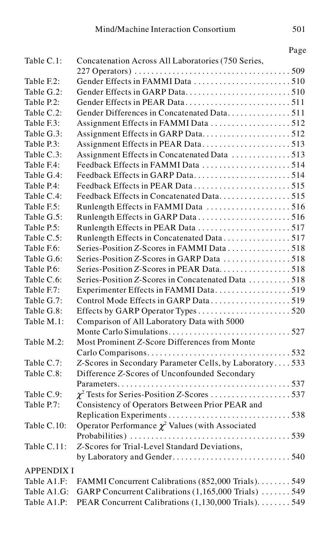| Table C.1:<br>Concatenation Across All Laboratories (750 Series,<br>Gender Effects in FAMMI Data 510<br>Table F.2:<br>Table G.2:<br>Table P.2:<br>Gender Differences in Concatenated Data511<br>Table C.2:<br>Table F.3:<br>Assignment Effects in GARP Data512<br>Table G.3:<br>Assignment Effects in PEAR Data513<br>Table P.3:<br>Assignment Effects in Concatenated Data 513<br>Table C.3:<br>Feedback Effects in FAMMI Data 514<br>Table F.4:<br>Feedback Effects in GARP Data514<br>Table G.4:<br>Table P.4:<br>Feedback Effects in Concatenated Data515<br>Table C.4:<br>Table F.5:<br>Runlength Effects in FAMMI Data 516<br>Runlength Effects in GARP Data 516<br>Table G.5:<br>Runlength Effects in PEAR Data 517<br>Table P.5:<br>Runlength Effects in Concatenated Data517<br>Table C.5:<br>Series-Position Z-Scores in FAMMI Data 518<br>Table F.6:<br>Series-Position Z-Scores in GARP Data 518<br>Table G.6:<br>Series-Position Z-Scores in PEAR Data518<br>Table P.6:<br>Series-Position Z-Scores in Concatenated Data 518<br>Table C.6:<br>Table F.7:<br>Experimenter Effects in FAMMI Data519<br>Control Mode Effects in GARP Data519<br>Table G.7:<br>Table G.8:<br>Comparison of All Laboratory Data with 5000<br>Table M.1:<br>Most Prominent Z-Score Differences from Monte<br>Table M.2:<br>Z-Scores in Secondary Parameter Cells, by Laboratory533<br>Table C.7:<br>Difference Z-Scores of Unconfounded Secondary<br>Table C.8: |
|--------------------------------------------------------------------------------------------------------------------------------------------------------------------------------------------------------------------------------------------------------------------------------------------------------------------------------------------------------------------------------------------------------------------------------------------------------------------------------------------------------------------------------------------------------------------------------------------------------------------------------------------------------------------------------------------------------------------------------------------------------------------------------------------------------------------------------------------------------------------------------------------------------------------------------------------------------------------------------------------------------------------------------------------------------------------------------------------------------------------------------------------------------------------------------------------------------------------------------------------------------------------------------------------------------------------------------------------------------------------------------------------------------------------------------------------------------|
|                                                                                                                                                                                                                                                                                                                                                                                                                                                                                                                                                                                                                                                                                                                                                                                                                                                                                                                                                                                                                                                                                                                                                                                                                                                                                                                                                                                                                                                        |
|                                                                                                                                                                                                                                                                                                                                                                                                                                                                                                                                                                                                                                                                                                                                                                                                                                                                                                                                                                                                                                                                                                                                                                                                                                                                                                                                                                                                                                                        |
|                                                                                                                                                                                                                                                                                                                                                                                                                                                                                                                                                                                                                                                                                                                                                                                                                                                                                                                                                                                                                                                                                                                                                                                                                                                                                                                                                                                                                                                        |
|                                                                                                                                                                                                                                                                                                                                                                                                                                                                                                                                                                                                                                                                                                                                                                                                                                                                                                                                                                                                                                                                                                                                                                                                                                                                                                                                                                                                                                                        |
|                                                                                                                                                                                                                                                                                                                                                                                                                                                                                                                                                                                                                                                                                                                                                                                                                                                                                                                                                                                                                                                                                                                                                                                                                                                                                                                                                                                                                                                        |
|                                                                                                                                                                                                                                                                                                                                                                                                                                                                                                                                                                                                                                                                                                                                                                                                                                                                                                                                                                                                                                                                                                                                                                                                                                                                                                                                                                                                                                                        |
|                                                                                                                                                                                                                                                                                                                                                                                                                                                                                                                                                                                                                                                                                                                                                                                                                                                                                                                                                                                                                                                                                                                                                                                                                                                                                                                                                                                                                                                        |
|                                                                                                                                                                                                                                                                                                                                                                                                                                                                                                                                                                                                                                                                                                                                                                                                                                                                                                                                                                                                                                                                                                                                                                                                                                                                                                                                                                                                                                                        |
|                                                                                                                                                                                                                                                                                                                                                                                                                                                                                                                                                                                                                                                                                                                                                                                                                                                                                                                                                                                                                                                                                                                                                                                                                                                                                                                                                                                                                                                        |
|                                                                                                                                                                                                                                                                                                                                                                                                                                                                                                                                                                                                                                                                                                                                                                                                                                                                                                                                                                                                                                                                                                                                                                                                                                                                                                                                                                                                                                                        |
|                                                                                                                                                                                                                                                                                                                                                                                                                                                                                                                                                                                                                                                                                                                                                                                                                                                                                                                                                                                                                                                                                                                                                                                                                                                                                                                                                                                                                                                        |
|                                                                                                                                                                                                                                                                                                                                                                                                                                                                                                                                                                                                                                                                                                                                                                                                                                                                                                                                                                                                                                                                                                                                                                                                                                                                                                                                                                                                                                                        |
|                                                                                                                                                                                                                                                                                                                                                                                                                                                                                                                                                                                                                                                                                                                                                                                                                                                                                                                                                                                                                                                                                                                                                                                                                                                                                                                                                                                                                                                        |
|                                                                                                                                                                                                                                                                                                                                                                                                                                                                                                                                                                                                                                                                                                                                                                                                                                                                                                                                                                                                                                                                                                                                                                                                                                                                                                                                                                                                                                                        |
|                                                                                                                                                                                                                                                                                                                                                                                                                                                                                                                                                                                                                                                                                                                                                                                                                                                                                                                                                                                                                                                                                                                                                                                                                                                                                                                                                                                                                                                        |
|                                                                                                                                                                                                                                                                                                                                                                                                                                                                                                                                                                                                                                                                                                                                                                                                                                                                                                                                                                                                                                                                                                                                                                                                                                                                                                                                                                                                                                                        |
|                                                                                                                                                                                                                                                                                                                                                                                                                                                                                                                                                                                                                                                                                                                                                                                                                                                                                                                                                                                                                                                                                                                                                                                                                                                                                                                                                                                                                                                        |
|                                                                                                                                                                                                                                                                                                                                                                                                                                                                                                                                                                                                                                                                                                                                                                                                                                                                                                                                                                                                                                                                                                                                                                                                                                                                                                                                                                                                                                                        |
|                                                                                                                                                                                                                                                                                                                                                                                                                                                                                                                                                                                                                                                                                                                                                                                                                                                                                                                                                                                                                                                                                                                                                                                                                                                                                                                                                                                                                                                        |
|                                                                                                                                                                                                                                                                                                                                                                                                                                                                                                                                                                                                                                                                                                                                                                                                                                                                                                                                                                                                                                                                                                                                                                                                                                                                                                                                                                                                                                                        |
|                                                                                                                                                                                                                                                                                                                                                                                                                                                                                                                                                                                                                                                                                                                                                                                                                                                                                                                                                                                                                                                                                                                                                                                                                                                                                                                                                                                                                                                        |
|                                                                                                                                                                                                                                                                                                                                                                                                                                                                                                                                                                                                                                                                                                                                                                                                                                                                                                                                                                                                                                                                                                                                                                                                                                                                                                                                                                                                                                                        |
|                                                                                                                                                                                                                                                                                                                                                                                                                                                                                                                                                                                                                                                                                                                                                                                                                                                                                                                                                                                                                                                                                                                                                                                                                                                                                                                                                                                                                                                        |
|                                                                                                                                                                                                                                                                                                                                                                                                                                                                                                                                                                                                                                                                                                                                                                                                                                                                                                                                                                                                                                                                                                                                                                                                                                                                                                                                                                                                                                                        |
|                                                                                                                                                                                                                                                                                                                                                                                                                                                                                                                                                                                                                                                                                                                                                                                                                                                                                                                                                                                                                                                                                                                                                                                                                                                                                                                                                                                                                                                        |
|                                                                                                                                                                                                                                                                                                                                                                                                                                                                                                                                                                                                                                                                                                                                                                                                                                                                                                                                                                                                                                                                                                                                                                                                                                                                                                                                                                                                                                                        |
|                                                                                                                                                                                                                                                                                                                                                                                                                                                                                                                                                                                                                                                                                                                                                                                                                                                                                                                                                                                                                                                                                                                                                                                                                                                                                                                                                                                                                                                        |
|                                                                                                                                                                                                                                                                                                                                                                                                                                                                                                                                                                                                                                                                                                                                                                                                                                                                                                                                                                                                                                                                                                                                                                                                                                                                                                                                                                                                                                                        |
|                                                                                                                                                                                                                                                                                                                                                                                                                                                                                                                                                                                                                                                                                                                                                                                                                                                                                                                                                                                                                                                                                                                                                                                                                                                                                                                                                                                                                                                        |
|                                                                                                                                                                                                                                                                                                                                                                                                                                                                                                                                                                                                                                                                                                                                                                                                                                                                                                                                                                                                                                                                                                                                                                                                                                                                                                                                                                                                                                                        |
|                                                                                                                                                                                                                                                                                                                                                                                                                                                                                                                                                                                                                                                                                                                                                                                                                                                                                                                                                                                                                                                                                                                                                                                                                                                                                                                                                                                                                                                        |
|                                                                                                                                                                                                                                                                                                                                                                                                                                                                                                                                                                                                                                                                                                                                                                                                                                                                                                                                                                                                                                                                                                                                                                                                                                                                                                                                                                                                                                                        |
| $\chi^2$ Tests for Series-Position Z-Scores 537<br>Table C.9:                                                                                                                                                                                                                                                                                                                                                                                                                                                                                                                                                                                                                                                                                                                                                                                                                                                                                                                                                                                                                                                                                                                                                                                                                                                                                                                                                                                          |
| Consistency of Operators Between Prior PEAR and<br>Table P.7:                                                                                                                                                                                                                                                                                                                                                                                                                                                                                                                                                                                                                                                                                                                                                                                                                                                                                                                                                                                                                                                                                                                                                                                                                                                                                                                                                                                          |
|                                                                                                                                                                                                                                                                                                                                                                                                                                                                                                                                                                                                                                                                                                                                                                                                                                                                                                                                                                                                                                                                                                                                                                                                                                                                                                                                                                                                                                                        |
| Operator Performance $\chi^2$ Values (with Associated<br>Table C.10:                                                                                                                                                                                                                                                                                                                                                                                                                                                                                                                                                                                                                                                                                                                                                                                                                                                                                                                                                                                                                                                                                                                                                                                                                                                                                                                                                                                   |
|                                                                                                                                                                                                                                                                                                                                                                                                                                                                                                                                                                                                                                                                                                                                                                                                                                                                                                                                                                                                                                                                                                                                                                                                                                                                                                                                                                                                                                                        |
| Table C.11:<br>Z-Scores for Trial-Level Standard Deviations,                                                                                                                                                                                                                                                                                                                                                                                                                                                                                                                                                                                                                                                                                                                                                                                                                                                                                                                                                                                                                                                                                                                                                                                                                                                                                                                                                                                           |
|                                                                                                                                                                                                                                                                                                                                                                                                                                                                                                                                                                                                                                                                                                                                                                                                                                                                                                                                                                                                                                                                                                                                                                                                                                                                                                                                                                                                                                                        |
| <b>APPENDIX I</b>                                                                                                                                                                                                                                                                                                                                                                                                                                                                                                                                                                                                                                                                                                                                                                                                                                                                                                                                                                                                                                                                                                                                                                                                                                                                                                                                                                                                                                      |
| FAMMI Concurrent Calibrations (852,000 Trials). 549<br>Table A1.F:                                                                                                                                                                                                                                                                                                                                                                                                                                                                                                                                                                                                                                                                                                                                                                                                                                                                                                                                                                                                                                                                                                                                                                                                                                                                                                                                                                                     |
| Table A1.G:<br>GARP Concurrent Calibrations (1,165,000 Trials)  549                                                                                                                                                                                                                                                                                                                                                                                                                                                                                                                                                                                                                                                                                                                                                                                                                                                                                                                                                                                                                                                                                                                                                                                                                                                                                                                                                                                    |
| Table A1.P:<br>PEAR Concurrent Calibrations (1,130,000 Trials). 549                                                                                                                                                                                                                                                                                                                                                                                                                                                                                                                                                                                                                                                                                                                                                                                                                                                                                                                                                                                                                                                                                                                                                                                                                                                                                                                                                                                    |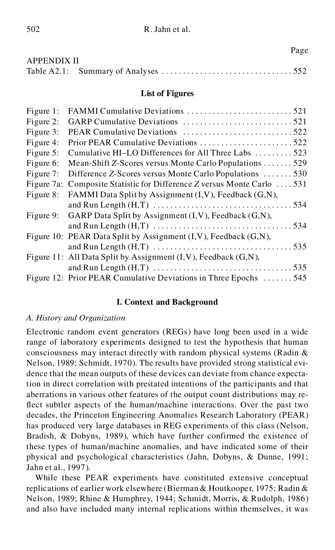|             | Page |
|-------------|------|
| APPENDIX II |      |
|             |      |

### **List of Figures**

| Figure 1:  |                                                                 |
|------------|-----------------------------------------------------------------|
| Figure 2:  |                                                                 |
| Figure 3:  | PEAR Cumulative Deviations 522                                  |
| Figure 4:  | Prior PEAR Cumulative Deviations 522                            |
| Figure 5:  | Cumulative HI-LO Differences for All Three Labs 523             |
| Figure 6:  | Mean-Shift Z-Scores versus Monte Carlo Populations 529          |
| Figure 7:  | Difference Z-Scores versus Monte Carlo Populations 530          |
| Figure 7a: | Composite Statistic for Difference Z versus Monte Carlo  531    |
| Figure 8:  | FAMMI Data Split by Assignment (I, V), Feedback (G, N),         |
|            |                                                                 |
| Figure 9:  | GARP Data Split by Assignment (I, V), Feedback (G,N),           |
|            |                                                                 |
|            | Figure 10: PEAR Data Split by Assignment (I,V), Feedback (G,N), |
|            |                                                                 |
|            | Figure 11: All Data Split by Assignment (I, V), Feedback (G,N), |
|            |                                                                 |
|            | Figure 12: Prior PEAR Cumulative Deviations in Three Epochs 545 |

## **I. Context and Background**

## *A. History and Organization*

Electronic random event generators (REGs) have long been used in a wide range of laboratory experiments designed to test the hypothesis that human consciousness may interact directly with random physical systems (Radin & Nelson, 1989; Schmidt, 1970). The results have provided strong statistical evi dence that the mean outputs of these devices can deviate from chance expectation in direct correlation with prestated intentions of the participants and that aberrations in various other features of the output count distributions may reflect subtler aspects of the human/machine interactions. Over the past two decades, the Princeton Engineering Anomalies Research Laboratory (PEAR) has produced very large databases in REG experiments of this class (Nelson, Bradish, & Dobyns, 1989), which have further confirmed the existence of these types of human/machine anomalies, and have indicated some of their physical and psychological characteristics (Jahn, Dobyns, & Dunne, 1991; Jahn et al., 1997).

While these PEAR experiments have constituted extensive conceptual replications of earlier work elsewhere (Bierman & Houtkooper, 1975; Radin & Nelson, 1989; Rhine & Humphrey, 1944; Schmidt, Morris, & Rudolph, 1986) and also have included many internal replications within themselves, it was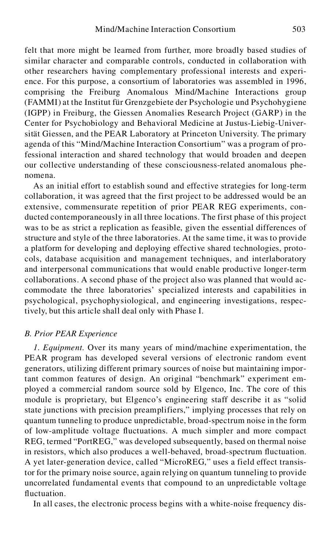felt that more might be learned from further, more broadly based studies of similar character and comparable controls, conducted in collaboration with other researchers having complementary professional interests and experi ence. For this purpose, a consortium of laboratories was assembled in 1996, comprising the Freiburg Anomalous Mind/Machine Interactions group (FAMMI) at the Institut für Grenzgebiete der Psychologie und Psychohygiene (IGPP) in Freiburg, the Giessen Anomalies Research Project (GARP) in the Center for Psychobiology and Behavioral Medicine at Justus-Liebig-Universität Giessen, and the PEAR Laboratory at Princeton University. The primary agenda of this "Mind/Machine Interaction Consortium" was a program of professional interaction and shared technology that would broaden and deepen our collective understanding of these consciousness-related anomalous phe nomena.

As an initial effort to establish sound and effective strategies for long-term collaboration, it was agreed that the first project to be addressed would be an extensive, commensurate repetition of prior PEAR REG experiments, con ducted contemporaneously in all three locations. The first phase of this project was to be as strict a replication as feasible, given the essential differences of structure and style of the three laboratories. At the same time, it was to provide a platform for developing and deploying effective shared technologies, proto cols, database acquisition and management techniques, and interlaboratory and interpersonal communications that would enable productive longer-term collaborations. A second phase of the project also was planned that would ac commodate the three laboratories' specialized interests and capabilities in psychological, psychophysiological, and engineering investigations, respectively, but this article shall deal only with Phase I.

#### *B. Prior PEAR Experience*

*1. Equipment.* Over its many years of mind/machine experimentation, the PEAR program has developed several versions of electronic random event generators, utilizing different primary sources of noise but maintaining important common features of design. An original "benchmark" experiment em ployed a commercial random source sold by Elgenco, Inc. The core of this module is proprietary, but Elgenco's engineering staff describe it as "solid state junctions with precision preamplifiers," implying processes that rely on quantum tunneling to produce unpredictable, broad-spectrum noise in the form of low-amplitude voltage fluctuations. A much simpler and more compact REG, termed "PortREG," was developed subsequently, based on thermal noise in resistors, which also produces a well-behaved, broad-spectrum fluctuation. A yet later-generation device, called "MicroREG," uses a field effect transistor for the primary noise source, again relying on quantum tunneling to provide uncorrelated fundamental events that compound to an unpredictable voltage fluctuation.

In all cases, the electronic process begins with a white-noise frequency dis-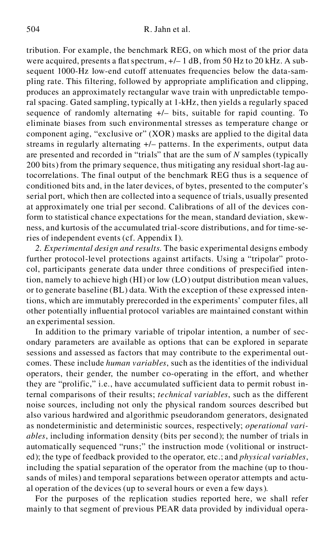tribution. For example, the benchmark REG, on which most of the prior data were acquired, presents a flat spectrum,  $+/- 1$  dB, from 50 Hz to 20 kHz. A subsequent 1000-Hz low-end cutoff attenuates frequencies below the data-sam pling rate. This filtering, followed by appropriate amplification and clipping, produces an approximately rectangular wave train with unpredictable temporal spacing. Gated sampling, typically at 1-kHz, then yields a regularly spaced sequence of randomly alternating  $+/-$  bits, suitable for rapid counting. To eliminate biases from such environmental stresses as temperature change or component aging, "exclusive or" (XOR) masks are applied to the digital data streams in regularly alternating +/– patterns. In the experiments, output data are presented and recorded in "trials" that are the sum of *N* samples (typically 200 bits) from the primary sequence, thus mitigating any residual short-lag autocorrelations. The final output of the benchmark REG thus is a sequence of conditioned bits and, in the later devices, of bytes, presented to the computer's serial port, which then are collected into a sequence of trials, usually presented at approximately one trial per second. Calibrations of all of the devices conform to statistical chance expectations for the mean, standard deviation, skew ness, and kurtosis of the accumulated trial-score distributions, and for time-series of independent events (cf. Appendix I).

*2. Experimental design and results.* The basic experimental designs embody further protocol-level protections against artifacts. Using a "tripolar" proto col, participants generate data under three conditions of prespecified intention, namely to achieve high (HI) or low (LO) output distribution mean values, or to generate baseline (BL) data. With the exception of these expressed intentions, which are immutably prerecorded in the experiments' computer files, all other potentially influential protocol variables are maintained constant within an experimental session.

In addition to the primary variable of tripolar intention, a number of sec ondary parameters are available as options that can be explored in separate sessions and assessed as factors that may contribute to the experimental out comes. These include *human variables*, such as the identities of the individual operators, their gender, the number co-operating in the effort, and whether they are "prolific," i.e., have accumulated sufficient data to permit robust internal comparisons of their results; *technical variables*, such as the different noise sources, including not only the physical random sources described but also various hardwired and algorithmic pseudorandom generators, designated as nondeterministic and deterministic sources, respectively; *operational vari ables*, including information density (bits per second); the number of trials in automatically sequenced "runs;" the instruction mode (volitional or instruct ed); the type of feedback provided to the operator, etc.; and *physical variables*, including the spatial separation of the operator from the machine (up to thousands of miles) and temporal separations between operator attempts and actu al operation of the devices (up to several hours or even a few days).

For the purposes of the replication studies reported here, we shall refer mainly to that segment of previous PEAR data provided by individual opera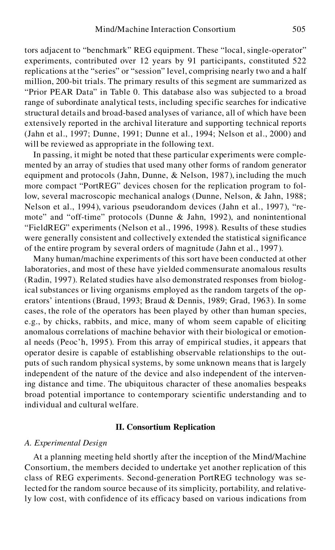tors adjacent to "benchmark" REG equipment. These "local, single-operator" experiments, contributed over 12 years by 91 participants, constituted 522 replications at the "series" or "session" level, comprising nearly two and a half million, 200-bit trials. The primary results of this segment are summarized as "Prior PEAR Data" in Table 0. This database also was subjected to a broad range of subordinate analytical tests, including specific searches for indicative structural details and broad-based analyses of variance, all of which have been extensively reported in the archival literature and supporting technical reports (Jahn et al., 1997; Dunne, 1991; Dunne et al., 1994; Nelson et al., 2000) and will be reviewed as appropriate in the following text.

In passing, it might be noted that these particular experiments were comple mented by an array of studies that used many other forms of random generator equipment and protocols (Jahn, Dunne, & Nelson, 1987), including the much more compact "PortREG" devices chosen for the replication program to follow, several macroscopic mechanical analogs (Dunne, Nelson, & Jahn, 1988; Nelson et al., 1994), various pseudorandom devices (Jahn et al., 1997), "re mote" and "off-time" protocols (Dunne & Jahn, 1992), and nonintentional "FieldREG" experiments (Nelson et al., 1996, 1998). Results of these studies were generally consistent and collectively extended the statistical significance of the entire program by several orders of magnitude (Jahn et al., 1997).

Many human/machine experiments of this sort have been conducted at other laboratories, and most of these have yielded commensurate anomalous results (Radin, 1997). Related studies have also demonstrated responses from biological substances or living organisms employed as the random targets of the op erators' intentions (Braud, 1993; Braud & Dennis, 1989; Grad, 1963). In some cases, the role of the operators has been played by other than human species, e.g., by chicks, rabbits, and mice, many of whom seem capable of eliciting anomalous correlations of machine behavior with their biological or emotion al needs (Peoc'h, 1995). From this array of empirical studies, it appears that operator desire is capable of establishing observable relationships to the out puts of such random physical systems, by some unknown means that is largely independent of the nature of the device and also independent of the intervening distance and time. The ubiquitous character of these anomalies bespeaks broad potential importance to contemporary scientific understanding and to individual and cultural welfare.

#### **II. Consortium Replication**

#### *A. Experimental Design*

At a planning meeting held shortly after the inception of the Mind/Machine Consortium, the members decided to undertake yet another replication of this class of REG experiments. Second-generation PortREG technology was selected for the random source because of its simplicity, portability, and relatively low cost, with confidence of its efficacy based on various indications from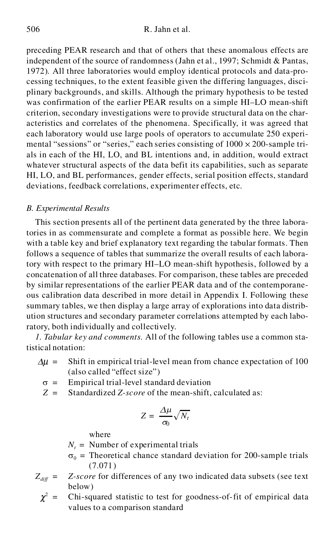preceding PEAR research and that of others that these anomalous effects are independent of the source of randomness (Jahn et al., 1997; Schmidt & Pantas, 1972). All three laboratories would employ identical protocols and data-pro cessing techniques, to the extent feasible given the differing languages, disci plinary backgrounds, and skills. Although the primary hypothesis to be tested was confirmation of the earlier PEAR results on a simple HI–LO mean-shift criterion, secondary investigations were to provide structural data on the char acteristics and correlates of the phenomena. Specifically, it was agreed that each laboratory would use large pools of operators to accumulate 250 experi mental "sessions" or "series," each series consisting of  $1000 \times 200$ -sample trials in each of the HI, LO, and BL intentions and, in addition, would extract whatever structural aspects of the data befit its capabilities, such as separate HI, LO, and BL performances, gender effects, serial position effects, standard deviations, feedback correlations, experimenter effects, etc.

# *B. Experimental Results*

This section presents all of the pertinent data generated by the three laboratories in as commensurate and complete a format as possible here. We begin with a table key and brief explanatory text regarding the tabular formats. Then follows a sequence of tables that summarize the overall results of each laboratory with respect to the primary HI–LO mean-shift hypothesis, followed by a concatenation of all three databases. For comparison, these tables are preceded by similar representations of the earlier PEAR data and of the contemporane ous calibration data described in more detail in Appendix I. Following these summary tables, we then display a large array of explorations into data distrib ution structures and secondary parameter correlations attempted by each laboratory, both individually and collectively.

*1. Tabular key and comments.* All of the following tables use a common statistical notation:

- $\Delta \mu$  = Shift in empirical trial-level mean from chance expectation of 100 (also called "effect size")
	- $\sigma$  = Empirical trial-level standard deviation
	- *Z* = Standardized *Z-score* of the mean-shift, calculated as:

$$
Z = \frac{\Delta \mu}{\sigma_0} \sqrt{N_t}
$$

where

- $N<sub>t</sub>$  = Number of experimental trials
- $\sigma_0$  = Theoretical chance standard deviation for 200-sample trials (7.071)
- $Z_{diff}$  =  $Z$ -score for differences of any two indicated data subsets (see text below)
	- $\chi^2$  = Chi-squared statistic to test for goodness-of-fit of empirical data values to a comparison standard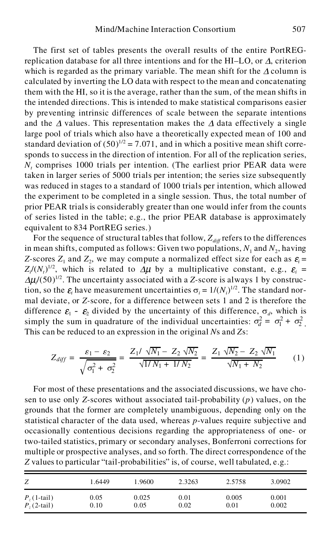The first set of tables presents the overall results of the entire PortREGreplication database for all three intentions and for the HI–LO, or  $\Delta$ , criterion which is regarded as the primary variable. The mean shift for the  $\Delta$  column is calculated by inverting the LO data with respect to the mean and concatenating them with the HI, so it is the average, rather than the sum, of the mean shifts in the intended directions. This is intended to make statistical comparisons easier by preventing intrinsic differences of scale between the separate intentions and the  $\Delta$  values. This representation makes the  $\Delta$  data effectively a single large pool of trials which also have a theoretically expected mean of 100 and standard deviation of  $(50)^{1/2}$  = 7.071, and in which a positive mean shift corresponds to success in the direction of intention. For all of the replication series, *N<sup>t</sup>* comprises 1000 trials per intention. (The earliest prior PEAR data were taken in larger series of 5000 trials per intention; the series size subsequently was reduced in stages to a standard of 1000 trials per intention, which allowed the experiment to be completed in a single session. Thus, the total number of prior PEAR trials is considerably greater than one would infer from the counts of series listed in the table; e.g., the prior PEAR database is approximately equivalent to 834 PortREG series.)

For the sequence of structural tables that follow,  $Z_{\text{diff}}$  refers to the differences in mean shifts, computed as follows: Given two populations,  $N_1$  and  $N_2$ , having *Z*-scores  $Z_1$  and  $Z_2$ , we may compute a normalized effect size for each as  $\varepsilon_i =$  $Z_i/(N_i)^{1/2}$ , which is related to  $\Delta \mu$  by a multiplicative constant, e.g.,  $\varepsilon_i =$ *<sup>i</sup>*/(50) 1/2 . The uncertainty associated with a *Z-*score is always 1 by construction, so the  $\varepsilon_i$  have measurement uncertainties  $\sigma_i = 1/(N_i)^{1/2}$ . The standard normal deviate, or *Z-*score, for a difference between sets 1 and 2 is therefore the difference  $\mathcal{E}_1$  -  $\mathcal{E}_2$  divided by the uncertainty of this difference,  $\sigma_d$ , which is simply the sum in quadrature of the individual uncertainties:  $\sigma_d^2 = \sigma_1^2 + \sigma_2^2$ . <sup>2</sup> . This can be reduced to an expression in the original *N*s and *Z*s:

$$
Z_{diff} = \frac{\varepsilon_1 - \varepsilon_2}{\sqrt{\sigma_1^2 + \sigma_2^2}} = \frac{Z_1 / \sqrt{N_1} - Z_2 \sqrt{N_2}}{\sqrt{1/N_1 + 1/N_2}} = \frac{Z_1 \sqrt{N_2} - Z_2 \sqrt{N_1}}{\sqrt{N_1 + N_2}}
$$
(1)

For most of these presentations and the associated discussions, we have chosen to use only *Z*-scores without associated tail-probability (*p*) values, on the grounds that the former are completely unambiguous, depending only on the statistical character of the data used, whereas *p*-values require subjective and occasionally contentious decisions regarding the appropriateness of one- or two-tailed statistics, primary or secondary analyses, Bonferroni corrections for multiple or prospective analyses, and so forth. The direct correspondence of the *Z* values to particular "tail-probabilities" is, of course, well tabulated, e.g.:

| Ζ            | 1.6449   | 1.9600 | 2.3263 | 2.5758 | 3.0902 |
|--------------|----------|--------|--------|--------|--------|
| $P7(1-tail)$ | 0.05     | 0.025  | 0.01   | 0.005  | 0.001  |
| $Pz(2-tail)$ | $0.10\,$ | 0.05   | 0.02   | 0.01   | 0.002  |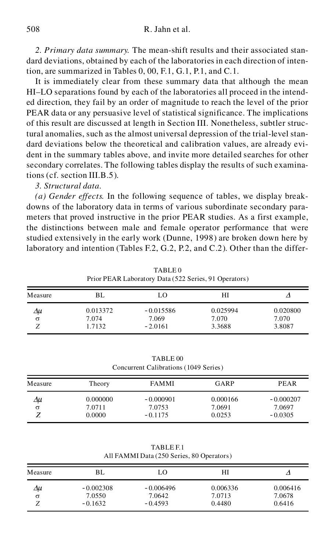*2. Primary data summary.* The mean-shift results and their associated stan dard deviations, obtained by each of the laboratories in each direction of intention, are summarized in Tables 0, 00, F.1, G.1, P.1, and C.1.

It is immediately clear from these summary data that although the mean HI–LO separations found by each of the laboratories all proceed in the intend ed direction, they fail by an order of magnitude to reach the level of the prior PEAR data or any persuasive level of statistical significance. The implications of this result are discussed at length in Section III. Nonetheless, subtler structural anomalies, such as the almost universal depression of the trial-level stan dard deviations below the theoretical and calibration values, are already evi dent in the summary tables above, and invite more detailed searches for other secondary correlates. The following tables display the results of such examinations (cf. section III.B.5).

### *3. Structural data.*

*(a) Gender effects.* In the following sequence of tables, we display break downs of the laboratory data in terms of various subordinate secondary para meters that proved instructive in the prior PEAR studies. As a first example, the distinctions between male and female operator performance that were studied extensively in the early work (Dunne, 1998) are broken down here by laboratory and intention (Tables F.2, G.2, P.2, and C.2). Other than the differ-

|         | Prior PEAR Laboratory Data (522 Series, 91 Operators) |                    |                 |                 |  |  |
|---------|-------------------------------------------------------|--------------------|-----------------|-----------------|--|--|
| Measure | BL.                                                   | LO                 | НI              |                 |  |  |
| Δμ      | 0.013372                                              | $-0.015586$        | 0.025994        | 0.020800        |  |  |
| σ       | 7.074<br>1.7132                                       | 7.069<br>$-2.0161$ | 7.070<br>3.3688 | 7.070<br>3.8087 |  |  |
|         |                                                       |                    |                 |                 |  |  |

TABLE 0

TABLE 00 Concurrent Calibrations (1049 Series)

| Measure | Theory                       | <b>FAMMI</b>                       | GARP                         | PEAR                               |
|---------|------------------------------|------------------------------------|------------------------------|------------------------------------|
| Δu<br>σ | 0.000000<br>7.0711<br>0.0000 | $-0.000901$<br>7.0753<br>$-0.1175$ | 0.000166<br>7.0691<br>0.0253 | $-0.000207$<br>7.0697<br>$-0.0305$ |

| TABLE F.1                                 |  |
|-------------------------------------------|--|
| All FAMMI Data (250 Series, 80 Operators) |  |

| Measure | BL          | LO          | HI       |          |
|---------|-------------|-------------|----------|----------|
| Δμ      | $-0.002308$ | $-0.006496$ | 0.006336 | 0.006416 |
| σ       | 7.0550      | 7.0642      | 7.0713   | 7.0678   |
|         | $-0.1632$   | $-0.4593$   | 0.4480   | 0.6416   |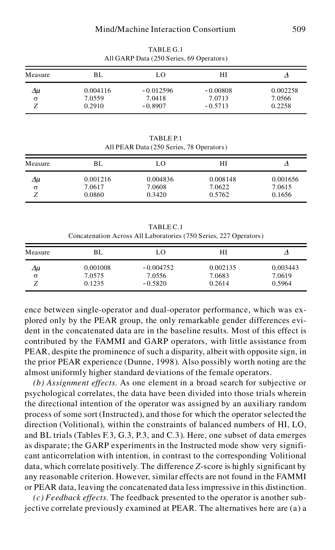| Measure | BL       | LO          | HI         |          |
|---------|----------|-------------|------------|----------|
| Δμ      | 0.004116 | $-0.012596$ | $-0.00808$ | 0.002258 |
| σ       | 7.0559   | 7.0418      | 7.0713     | 7.0566   |
|         | 0.2910   | $-0.8907$   | $-0.5713$  | 0.2258   |

TABLE G.1 All GARP Data (250 Series, 69 Operators)

TABLE P.1 All PEAR Data (250 Series, 78 Operators)

| Measure | BL                           | LO                           | HI                           |                              |
|---------|------------------------------|------------------------------|------------------------------|------------------------------|
| Δu<br>σ | 0.001216<br>7.0617<br>0.0860 | 0.004836<br>7.0608<br>0.3420 | 0.008148<br>7.0622<br>0.5762 | 0.001656<br>7.0615<br>0.1656 |

TABLE C.1 Concatenation Across All Laboratories (750 Series, 227 Operators)

| Measure |                              | LO                                 | HI                           |                              |
|---------|------------------------------|------------------------------------|------------------------------|------------------------------|
| Δu<br>σ | 0.001008<br>7.0575<br>0.1235 | $-0.004752$<br>7.0556<br>$-0.5820$ | 0.002135<br>7.0683<br>0.2614 | 0.003443<br>7.0619<br>0.5964 |

ence between single-operator and dual-operator performance, which was ex plored only by the PEAR group, the only remarkable gender differences evi dent in the concatenated data are in the baseline results. Most of this effect is contributed by the FAMMI and GARP operators, with little assistance from PEAR, despite the prominence of such a disparity, albeit with opposite sign, in the prior PEAR experience (Dunne, 1998). Also possibly worth noting are the almost uniformly higher standard deviations of the female operators.

*(b) Assignment effects.* As one element in a broad search for subjective or psychological correlates, the data have been divided into those trials wherein the directional intention of the operator was assigned by an auxiliary random process of some sort (Instructed), and those for which the operator selected the direction (Volitional), within the constraints of balanced numbers of HI, LO, and BL trials (Tables F.3, G.3, P.3, and C.3). Here, one subset of data emerges as disparate; the GARP experiments in the Instructed mode show very signifi cant anticorrelation with intention, in contrast to the corresponding Volitional data, which correlate positively. The difference *Z*-score is highly significant by any reasonable criterion. However, similar effects are not found in the FAMMI or PEAR data, leaving the concatenated data less impressive in this distinction.

*(c) Feedback effects.* The feedback presented to the operator is another subjective correlate previously examined at PEAR. The alternatives here are (a) a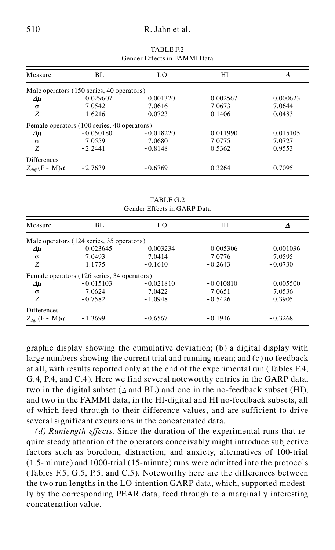### 510 R. Jahn et al.

|                          |                                             | OCHUCI EIICCIS III I ABIBITI D'AGA |          |          |
|--------------------------|---------------------------------------------|------------------------------------|----------|----------|
| Measure                  | BL                                          | LO                                 | HІ       | Δ        |
|                          | Male operators (150 series, 40 operators)   |                                    |          |          |
| $\Delta \mu$             | 0.029607                                    | 0.001320                           | 0.002567 | 0.000623 |
| $\sigma$                 | 7.0542                                      | 7.0616                             | 7.0673   | 7.0644   |
| Ζ                        | 1.6216                                      | 0.0723                             | 0.1406   | 0.0483   |
|                          | Female operators (100 series, 40 operators) |                                    |          |          |
| $\Delta \mu$             | $-0.050180$                                 | $-0.018220$                        | 0.011990 | 0.015105 |
| $\sigma$                 | 7.0559                                      | 7.0680                             | 7.0775   | 7.0727   |
| Z                        | $-2.2441$                                   | $-0.8148$                          | 0.5362   | 0.9553   |
| <b>Differences</b>       |                                             |                                    |          |          |
| $Z_{diff}$ (F - M) $\mu$ | $-2.7639$                                   | $-0.6769$                          | 0.3264   | 0.7095   |

TABLE F.2 Gender Effects in FAMMI Data

TABLE G.2 Gender Effects in GARP Data

| Measure                  | BL.                                         | LO.         | HІ          | Δ           |
|--------------------------|---------------------------------------------|-------------|-------------|-------------|
|                          | Male operators (124 series, 35 operators)   |             |             |             |
| Δμ                       | 0.023645                                    | $-0.003234$ | $-0.005306$ | $-0.001036$ |
| $\sigma$                 | 7.0493                                      | 7.0414      | 7.0776      | 7.0595      |
| Z                        | 1.1775                                      | $-0.1610$   | $-0.2643$   | $-0.0730$   |
|                          | Female operators (126 series, 34 operators) |             |             |             |
| Δμ                       | $-0.015103$                                 | $-0.021810$ | $-0.010810$ | 0.005500    |
| $\sigma$                 | 7.0624                                      | 7.0422      | 7.0651      | 7.0536      |
| Z                        | $-0.7582$                                   | $-1.0948$   | $-0.5426$   | 0.3905      |
| <b>Differences</b>       |                                             |             |             |             |
| $Z_{diff}$ (F - M) $\mu$ | $-1.3699$                                   | $-0.6567$   | $-0.1946$   | $-0.3268$   |

graphic display showing the cumulative deviation; (b) a digital display with large numbers showing the current trial and running mean; and (c) no feedback at all, with results reported only at the end of the experimental run (Tables F.4, G.4, P.4, and C.4). Here we find several noteworthy entries in the GARP data, two in the digital subset ( $\Delta$  and BL) and one in the no-feedback subset (HI), and two in the FAMMI data, in the HI-digital and HI no-feedback subsets, all of which feed through to their difference values, and are sufficient to drive several significant excursions in the concatenated data.

*(d) Runlength effects.* Since the duration of the experimental runs that re quire steady attention of the operators conceivably might introduce subjective factors such as boredom, distraction, and anxiety, alternatives of 100-trial (1.5-minute) and 1000-trial (15-minute) runs were admitted into the protocols (Tables F.5, G.5, P.5, and C.5). Noteworthy here are the differences between the two run lengths in the LO-intention GARP data, which, supported modestly by the corresponding PEAR data, feed through to a marginally interesting concatenation value.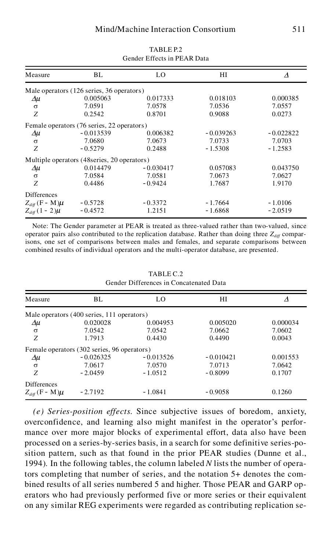| Measure                  | BL                                           | LO          | НI          | Δ           |
|--------------------------|----------------------------------------------|-------------|-------------|-------------|
|                          | Male operators (126 series, 36 operators)    |             |             |             |
| $\Delta \mu$             | 0.005063                                     | 0.017333    | 0.018103    | 0.000385    |
| $\sigma$                 | 7.0591                                       | 7.0578      | 7.0536      | 7.0557      |
| Z                        | 0.2542                                       | 0.8701      | 0.9088      | 0.0273      |
|                          | Female operators (76 series, 22 operators)   |             |             |             |
| Δμ                       | $-0.013539$                                  | 0.006382    | $-0.039263$ | $-0.022822$ |
| $\sigma$                 | 7.0680                                       | 7.0673      | 7.0733      | 7.0703      |
| Z                        | $-0.5279$                                    | 0.2488      | $-1.5308$   | $-1.2583$   |
|                          | Multiple operators (48 series, 20 operators) |             |             |             |
| $\Delta \mu$             | 0.014479                                     | $-0.030417$ | 0.057083    | 0.043750    |
| $\sigma$                 | 7.0584                                       | 7.0581      | 7.0673      | 7.0627      |
| Z                        | 0.4486                                       | $-0.9424$   | 1.7687      | 1.9170      |
| <b>Differences</b>       |                                              |             |             |             |
| $Z_{diff}$ (F - M) $\mu$ | $-0.5728$                                    | $-0.3372$   | $-1.7664$   | $-1.0106$   |
| $Z_{diff} (1 - 2) \mu$   | $-0.4572$                                    | 1.2151      | $-1.6868$   | $-2.0519$   |

TABLE P.2 Gender Effects in PEAR Data

Note: The Gender parameter at PEAR is treated as three-valued rather than two-valued, since operator pairs also contributed to the replication database. Rather than doing three  $Z_{\text{diff}}$  comparisons, one set of comparisons between males and females, and separate comparisons between combined results of individual operators and the multi-operator database, are presented.

| Measure                  | BL.                                         | LO          | HІ          | Δ        |
|--------------------------|---------------------------------------------|-------------|-------------|----------|
|                          | Male operators (400 series, 111 operators)  |             |             |          |
| Δμ                       | 0.020028                                    | 0.004953    | 0.005020    | 0.000034 |
| $\sigma$                 | 7.0542                                      | 7.0542      | 7.0662      | 7.0602   |
| Z                        | 1.7913                                      | 0.4430      | 0.4490      | 0.0043   |
|                          | Female operators (302 series, 96 operators) |             |             |          |
| Δμ                       | $-0.026325$                                 | $-0.013526$ | $-0.010421$ | 0.001553 |
| $\sigma$                 | 7.0617                                      | 7.0570      | 7.0713      | 7.0642   |
| Z                        | $-2.0459$                                   | $-1.0512$   | $-0.8099$   | 0.1707   |
| <b>Differences</b>       |                                             |             |             |          |
| $Z_{diff}$ (F - M) $\mu$ | $-2.7192$                                   | $-1.0841$   | $-0.9058$   | 0.1260   |

TABLE C.2 Gender Differences in Concatenated Data

*(e) Series-position effects.* Since subjective issues of boredom, anxiety, overconfidence, and learning also might manifest in the operator's perfor mance over more major blocks of experimental effort, data also have been processed on a series-by-series basis, in a search for some definitive series-position pattern, such as that found in the prior PEAR studies (Dunne et al., 1994). In the following tables, the column labeled *N* lists the number of operators completing that number of series, and the notation 5+ denotes the com bined results of all series numbered 5 and higher. Those PEAR and GARP op erators who had previously performed five or more series or their equivalent on any similar REG experiments were regarded as contributing replication se-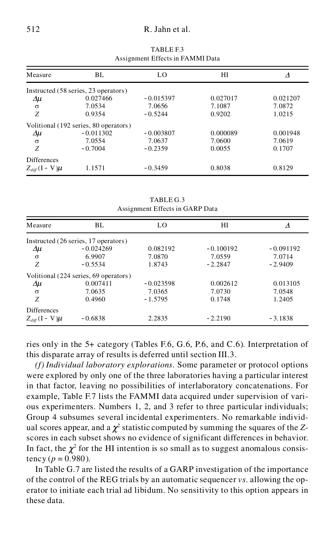### 512 R. Jahn et al.

| Measure                  | BL.                                   | LO          | НI       |          |
|--------------------------|---------------------------------------|-------------|----------|----------|
|                          | Instructed (58 series, 23 operators)  |             |          |          |
| Δμ                       | 0.027466                              | $-0.015397$ | 0.027017 | 0.021207 |
| $\sigma$                 | 7.0534                                | 7.0656      | 7.1087   | 7.0872   |
| Z                        | 0.9354                                | $-0.5244$   | 0.9202   | 1.0215   |
|                          | Volitional (192 series, 80 operators) |             |          |          |
| $\Delta \mu$             | $-0.011302$                           | $-0.003807$ | 0.000089 | 0.001948 |
| $\sigma$                 | 7.0554                                | 7.0637      | 7.0600   | 7.0619   |
| Z                        | $-0.7004$                             | $-0.2359$   | 0.0055   | 0.1707   |
| <b>Differences</b>       |                                       |             |          |          |
| $Z_{diff}$ (I – V) $\mu$ | 1.1571                                | $-0.3459$   | 0.8038   | 0.8129   |

TABLE F.3 Assignment Effects in FAMMI Data

TABLE G.3 Assignment Effects in GARP Data

| Measure                  | BL.                                   | LO          | НI          | Δ           |
|--------------------------|---------------------------------------|-------------|-------------|-------------|
|                          | Instructed (26 series, 17 operators)  |             |             |             |
| Δμ                       | $-0.024269$                           | 0.082192    | $-0.100192$ | $-0.091192$ |
| $\sigma$                 | 6.9907                                | 7.0870      | 7.0559      | 7.0714      |
| Ζ                        | $-0.5534$                             | 1.8743      | $-2.2847$   | $-2.9409$   |
|                          | Volitional (224 series, 69 operators) |             |             |             |
| Δμ                       | 0.007411                              | $-0.023598$ | 0.002612    | 0.013105    |
| $\sigma$                 | 7.0635                                | 7.0365      | 7.0730      | 7.0548      |
| Z                        | 0.4960                                | $-1.5795$   | 0.1748      | 1.2405      |
| <b>Differences</b>       |                                       |             |             |             |
| $Z_{diff}$ (I - V) $\mu$ | $-0.6838$                             | 2.2835      | $-2.2190$   | $-3.1838$   |

ries only in the 5+ category (Tables F.6, G.6, P.6, and C.6). Interpretation of this disparate array of results is deferred until section III.3.

*(f) Individual laboratory explorations.* Some parameter or protocol options were explored by only one of the three laboratories having a particular interest in that factor, leaving no possibilities of interlaboratory concatenations. For example, Table F.7 lists the FAMMI data acquired under supervision of vari ous experimenters. Numbers 1, 2, and 3 refer to three particular individuals; Group 4 subsumes several incidental experimenters. No remarkable individ ual scores appear, and a  $\chi^2$  statistic computed by summing the squares of the *Z*scores in each subset shows no evidence of significant differences in behavior. In fact, the  $\chi^2$  for the HI intention is so small as to suggest anomalous consistency ( $p = 0.980$ ).

In Table G.7 are listed the results of a GARP investigation of the importance of the control of the REG trials by an automatic sequencer *vs*. allowing the op erator to initiate each trial ad libidum. No sensitivity to this option appears in these data.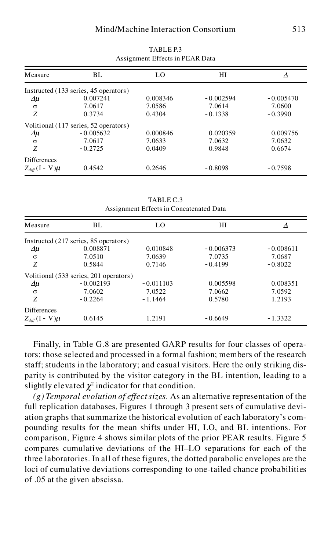| Measure                  | BL.                                   | LO       | НI          |             |
|--------------------------|---------------------------------------|----------|-------------|-------------|
|                          | Instructed (133 series, 45 operators) |          |             |             |
| Δμ                       | 0.007241                              | 0.008346 | $-0.002594$ | $-0.005470$ |
| $\sigma$                 | 7.0617                                | 7.0586   | 7.0614      | 7.0600      |
| Z                        | 0.3734                                | 0.4304   | $-0.1338$   | $-0.3990$   |
|                          | Volitional (117 series, 52 operators) |          |             |             |
| Δμ                       | $-0.005632$                           | 0.000846 | 0.020359    | 0.009756    |
| $\sigma$                 | 7.0617                                | 7.0633   | 7.0632      | 7.0632      |
| Z                        | $-0.2725$                             | 0.0409   | 0.9848      | 0.6674      |
| <b>Differences</b>       |                                       |          |             |             |
| $Z_{diff}$ (I - V) $\mu$ | 0.4542                                | 0.2646   | $-0.8098$   | $-0.7598$   |

TABLE P.3 Assignment Effects in PEAR Data

TABLE C.3 Assignment Effects in Concatenated Data

| Measure                  | BL.                                    | LO.         | HІ          | Δ           |
|--------------------------|----------------------------------------|-------------|-------------|-------------|
|                          | Instructed (217 series, 85 operators)  |             |             |             |
| Δμ                       | 0.008871                               | 0.010848    | $-0.006373$ | $-0.008611$ |
| $\sigma$                 | 7.0510                                 | 7.0639      | 7.0735      | 7.0687      |
| Z                        | 0.5844                                 | 0.7146      | $-0.4199$   | $-0.8022$   |
|                          | Volitional (533 series, 201 operators) |             |             |             |
| $\Delta \mu$             | $-0.002193$                            | $-0.011103$ | 0.005598    | 0.008351    |
| $\sigma$                 | 7.0602                                 | 7.0522      | 7.0662      | 7.0592      |
| Z                        | $-0.2264$                              | $-1.1464$   | 0.5780      | 1.2193      |
| <b>Differences</b>       |                                        |             |             |             |
| $Z_{diff}$ (I - V) $\mu$ | 0.6145                                 | 1.2191      | $-0.6649$   | $-1.3322$   |

Finally, in Table G.8 are presented GARP results for four classes of operators: those selected and processed in a formal fashion; members of the research staff; students in the laboratory; and casual visitors. Here the only striking dis parity is contributed by the visitor category in the BL intention, leading to a slightly elevated  $\chi^2$  indicator for that condition.

*(g) Temporal evolution of effect sizes.* As an alternative representation of the full replication databases, Figures 1 through 3 present sets of cumulative devi ation graphs that summarize the historical evolution of each laboratory's com pounding results for the mean shifts under HI, LO, and BL intentions. For comparison, Figure 4 shows similar plots of the prior PEAR results. Figure 5 compares cumulative deviations of the HI–LO separations for each of the three laboratories. In all of these figures, the dotted parabolic envelopes are the loci of cumulative deviations corresponding to one-tailed chance probabilities of .05 at the given abscissa.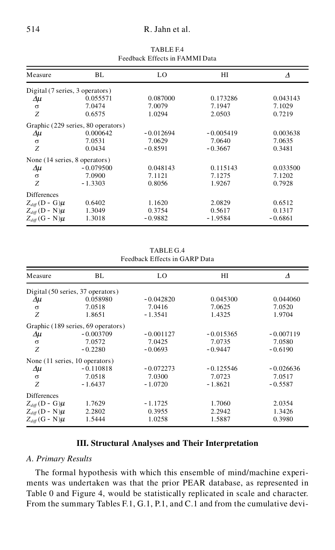### 514 R. Jahn et al.

| Measure                         | BL                                 | LO          | HІ          | Λ         |
|---------------------------------|------------------------------------|-------------|-------------|-----------|
| Digital (7 series, 3 operators) |                                    |             |             |           |
| $\Delta \mu$                    | 0.055571                           | 0.087000    | 0.173286    | 0.043143  |
| $\sigma$                        | 7.0474                             | 7.0079      | 7.1947      | 7.1029    |
| Ζ                               | 0.6575                             | 1.0294      | 2.0503      | 0.7219    |
|                                 | Graphic (229 series, 80 operators) |             |             |           |
| Δμ                              | 0.000642                           | $-0.012694$ | $-0.005419$ | 0.003638  |
| $\sigma$                        | 7.0531                             | 7.0629      | 7.0640      | 7.0635    |
| Ζ                               | 0.0434                             | $-0.8591$   | $-0.3667$   | 0.3481    |
| None (14 series, 8 operators)   |                                    |             |             |           |
| $\Delta \mu$                    | $-0.079500$                        | 0.048143    | 0.115143    | 0.033500  |
| $\sigma$                        | 7.0900                             | 7.1121      | 7.1275      | 7.1202    |
| Ζ                               | $-1.3303$                          | 0.8056      | 1.9267      | 0.7928    |
| <b>Differences</b>              |                                    |             |             |           |
| $Z_{diff}$ (D - G) $\mu$        | 0.6402                             | 1.1620      | 2.0829      | 0.6512    |
| $Z_{diff}$ (D - N) $\mu$        | 1.3049                             | 0.3754      | 0.5617      | 0.1317    |
| $Z_{diff}$ (G - N) $\mu$        | 1.3018                             | $-0.9882$   | - 1.9584    | $-0.6861$ |

TABLE F.4 Feedback Effects in FAMMI Data

| TABLE G.4                     |  |
|-------------------------------|--|
| Feedback Effects in GARP Data |  |

| Measure                        | BL                                 | LO          | НI          | Δ           |
|--------------------------------|------------------------------------|-------------|-------------|-------------|
|                                | Digital (50 series, 37 operators)  |             |             |             |
| Δμ                             | 0.058980                           | $-0.042820$ | 0.045300    | 0.044060    |
| $\sigma$                       | 7.0518                             | 7.0416      | 7.0625      | 7.0520      |
| Z                              | 1.8651                             | $-1.3541$   | 1.4325      | 1.9704      |
|                                | Graphic (189 series, 69 operators) |             |             |             |
| Δμ                             | $-0.003709$                        | $-0.001127$ | $-0.015365$ | $-0.007119$ |
| $\sigma$                       | 7.0572                             | 7.0425      | 7.0735      | 7.0580      |
| Z                              | $-0.2280$                          | $-0.0693$   | $-0.9447$   | $-0.6190$   |
| None (11 series, 10 operators) |                                    |             |             |             |
| $\Delta \mu$                   | $-0.110818$                        | $-0.072273$ | $-0.125546$ | $-0.026636$ |
| $\sigma$                       | 7.0518                             | 7.0300      | 7.0723      | 7.0517      |
| Z                              | $-1.6437$                          | $-1.0720$   | $-1.8621$   | $-0.5587$   |
| <b>Differences</b>             |                                    |             |             |             |
| $Z_{diff}$ (D - G) $\mu$       | 1.7629                             | $-1.1725$   | 1.7060      | 2.0354      |
| $Z_{diff}$ (D - N) $\mu$       | 2.2802                             | 0.3955      | 2.2942      | 1.3426      |
| $Z_{diff}$ (G - N) $\mu$       | 1.5444                             | 1.0258      | 1.5887      | 0.3980      |

### **III. Structural Analyses and Their Interpretation**

### *A. Primary Results*

The formal hypothesis with which this ensemble of mind/machine experi ments was undertaken was that the prior PEAR database, as represented in Table 0 and Figure 4, would be statistically replicated in scale and character. From the summary Tables F.1, G.1, P.1, and C.1 and from the cumulative devi-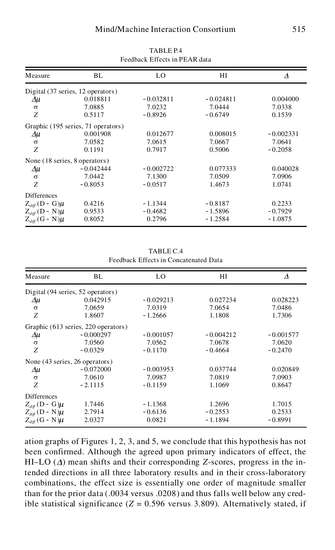| Measure                           | BL                                 | LO          | НI          | Δ           |
|-----------------------------------|------------------------------------|-------------|-------------|-------------|
| Digital (37 series, 12 operators) |                                    |             |             |             |
| Δμ                                | 0.018811                           | $-0.032811$ | $-0.024811$ | 0.004000    |
| $\sigma$                          | 7.0885                             | 7.0232      | 7.0444      | 7.0338      |
| Ζ                                 | 0.5117                             | $-0.8926$   | $-0.6749$   | 0.1539      |
|                                   | Graphic (195 series, 71 operators) |             |             |             |
| Δμ                                | 0.001908                           | 0.012677    | 0.008015    | $-0.002331$ |
| $\sigma$                          | 7.0582                             | 7.0615      | 7.0667      | 7.0641      |
| Ζ                                 | 0.1191                             | 0.7917      | 0.5006      | $-0.2058$   |
| None (18 series, 8 operators)     |                                    |             |             |             |
| Δμ                                | $-0.042444$                        | $-0.002722$ | 0.077333    | 0.040028    |
| $\sigma$                          | 7.0442                             | 7.1300      | 7.0509      | 7.0906      |
| Ζ                                 | $-0.8053$                          | $-0.0517$   | 1.4673      | 1.0741      |
| <b>Differences</b>                |                                    |             |             |             |
| $Z_{diff}$ (D - G) $\mu$          | 0.4216                             | $-1.1344$   | $-0.8187$   | 0.2233      |
| $Z_{diff}$ (D - N) $\mu$          | 0.9533                             | $-0.4682$   | $-1.5896$   | $-0.7929$   |
| $Z_{diff}$ (G - N) $\mu$          | 0.8052                             | 0.2796      | $-1.2584$   | $-1.0875$   |
|                                   |                                    |             |             |             |

TABLE P.4 Feedback Effects in PEAR data

| TABLE C.4                             |
|---------------------------------------|
| Feedback Effects in Concatenated Data |

| Measure                           | BL.                                 | LO          | НI          | Δ           |
|-----------------------------------|-------------------------------------|-------------|-------------|-------------|
| Digital (94 series, 52 operators) |                                     |             |             |             |
| Δμ                                | 0.042915                            | $-0.029213$ | 0.027234    | 0.028223    |
| $\sigma$                          | 7.0659                              | 7.0319      | 7.0654      | 7.0486      |
| Z                                 | 1.8607                              | $-1.2666$   | 1.1808      | 1.7306      |
|                                   | Graphic (613 series, 220 operators) |             |             |             |
| Δμ                                | $-0.000297$                         | $-0.001057$ | $-0.004212$ | $-0.001577$ |
| $\sigma$                          | 7.0560                              | 7.0562      | 7.0678      | 7.0620      |
| Z                                 | $-0.0329$                           | $-0.1170$   | $-0.4664$   | $-0.2470$   |
| None (43 series, 26 operators)    |                                     |             |             |             |
| $\Delta \mu$                      | $-0.072000$                         | $-0.003953$ | 0.037744    | 0.020849    |
| $\sigma$                          | 7.0610                              | 7.0987      | 7.0819      | 7.0903      |
| Z                                 | $-2.1115$                           | $-0.1159$   | 1.1069      | 0.8647      |
| Differences                       |                                     |             |             |             |
| $Z_{diff}$ (D - G) $\mu$          | 1.7446                              | $-1.1368$   | 1.2696      | 1.7015      |
| $Z_{diff}$ (D - N) $\mu$          | 2.7914                              | $-0.6136$   | $-0.2553$   | 0.2533      |
| $Z_{diff}$ (G - N) $\mu$          | 2.0327                              | 0.0821      | $-1.1894$   | $-0.8991$   |

ation graphs of Figures 1, 2, 3, and 5, we conclude that this hypothesis has not been confirmed. Although the agreed upon primary indicators of effect, the HI–LO  $(\Delta)$  mean shifts and their corresponding *Z*-scores, progress in the intended directions in all three laboratory results and in their cross-laboratory combinations, the effect size is essentially one order of magnitude smaller than for the prior data (.0034 versus .0208) and thus falls well below any credible statistical significance  $(Z = 0.596$  versus 3.809). Alternatively stated, if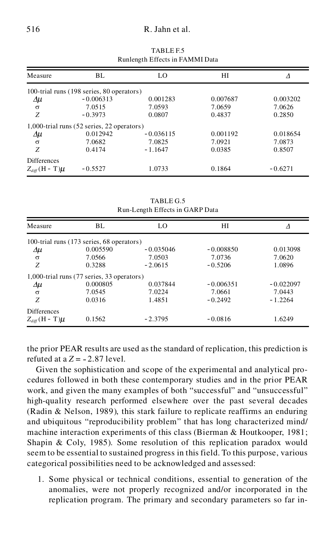### 516 R. Jahn et al.

|                          |                                            | reamengen Enterto in Franceis Bata |          |           |
|--------------------------|--------------------------------------------|------------------------------------|----------|-----------|
| Measure                  | BL.                                        | LO                                 | НI       | Δ         |
|                          | 100-trial runs (198 series, 80 operators)  |                                    |          |           |
| Δμ                       | $-0.006313$                                | 0.001283                           | 0.007687 | 0.003202  |
| $\sigma$                 | 7.0515                                     | 7.0593                             | 7.0659   | 7.0626    |
| Z                        | $-0.3973$                                  | 0.0807                             | 0.4837   | 0.2850    |
|                          | 1,000-trial runs (52 series, 22 operators) |                                    |          |           |
| $\Delta \mu$             | 0.012942                                   | $-0.036115$                        | 0.001192 | 0.018654  |
| $\sigma$                 | 7.0682                                     | 7.0825                             | 7.0921   | 7.0873    |
| Z                        | 0.4174                                     | $-1.1647$                          | 0.0385   | 0.8507    |
| <b>Differences</b>       |                                            |                                    |          |           |
| $Z_{diff}$ (H - T) $\mu$ | $-0.5527$                                  | 1.0733                             | 0.1864   | $-0.6271$ |

TABLE F.5 Runlength Effects in FAMMI Data

TABLE G.5 Run-Length Effects in GARP Data

| Measure                  | BL.                                        | LO          | HІ          |             |
|--------------------------|--------------------------------------------|-------------|-------------|-------------|
|                          | 100-trial runs (173 series, 68 operators)  |             |             |             |
| $\Delta \mu$             | 0.005590                                   | $-0.035046$ | $-0.008850$ | 0.013098    |
| $\sigma$                 | 7.0566                                     | 7.0503      | 7.0736      | 7.0620      |
| Z                        | 0.3288                                     | $-2.0615$   | $-0.5206$   | 1.0896      |
|                          | 1,000-trial runs (77 series, 33 operators) |             |             |             |
| $\Delta \mu$             | 0.000805                                   | 0.037844    | $-0.006351$ | $-0.022097$ |
| $\sigma$                 | 7.0545                                     | 7.0224      | 7.0661      | 7.0443      |
| Z                        | 0.0316                                     | 1.4851      | $-0.2492$   | $-1.2264$   |
| <b>Differences</b>       |                                            |             |             |             |
| $Z_{diff}$ (H - T) $\mu$ | 0.1562                                     | $-2.3795$   | $-0.0816$   | 1.6249      |

the prior PEAR results are used as the standard of replication, this prediction is refuted at a  $Z = -2.87$  level.

Given the sophistication and scope of the experimental and analytical pro cedures followed in both these contemporary studies and in the prior PEAR work, and given the many examples of both "successful" and "unsuccessful" high-quality research performed elsewhere over the past several decades (Radin & Nelson, 1989), this stark failure to replicate reaffirms an enduring and ubiquitous "reproducibility problem" that has long characterized mind/ machine interaction experiments of this class (Bierman & Houtkooper, 1981; Shapin & Coly, 1985). Some resolution of this replication paradox would seem to be essential to sustained progress in this field. To this purpose, various categorical possibilities need to be acknowledged and assessed:

1. Some physical or technical conditions, essential to generation of the anomalies, were not properly recognized and/or incorporated in the replication program. The primary and secondary parameters so far in-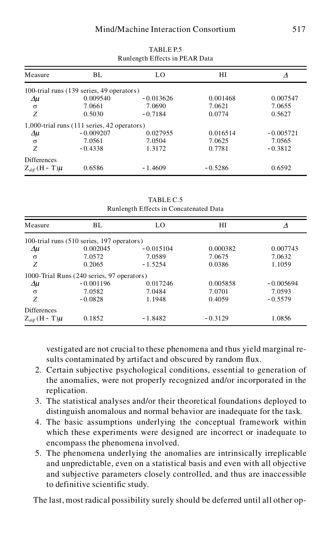| Measure                  | BL.                                         | LO          | НI        | Δ           |
|--------------------------|---------------------------------------------|-------------|-----------|-------------|
|                          | 100-trial runs (139 series, 49 operators)   |             |           |             |
| $\Delta \mu$             | 0.009540                                    | $-0.013626$ | 0.001468  | 0.007547    |
| $\sigma$                 | 7.0661                                      | 7.0690      | 7.0621    | 7.0655      |
| Z                        | 0.5030                                      | $-0.7184$   | 0.0774    | 0.5627      |
|                          | 1,000-trial runs (111 series, 42 operators) |             |           |             |
| Δμ                       | $-0.009207$                                 | 0.027955    | 0.016514  | $-0.005721$ |
| $\sigma$                 | 7.0561                                      | 7.0504      | 7.0625    | 7.0565      |
| Z                        | $-0.4338$                                   | 1.3172      | 0.7781    | $-0.3812$   |
| <b>Differences</b>       |                                             |             |           |             |
| $Z_{diff}$ (H - T) $\mu$ | 0.6586                                      | $-1.4609$   | $-0.5286$ | 0.6592      |

TABLE P.5 Runlength Effects in PEAR Data

TABLE C.5 Runlength Effects in Concatenated Data

| Measure                  | BL.                                        | LO.         | HІ        | Δ           |
|--------------------------|--------------------------------------------|-------------|-----------|-------------|
|                          | 100-trial runs (510 series, 197 operators) |             |           |             |
| Δμ                       | 0.002045                                   | $-0.015104$ | 0.000382  | 0.007743    |
| $\sigma$                 | 7.0572                                     | 7.0589      | 7.0675    | 7.0632      |
| Z                        | 0.2065                                     | $-1.5254$   | 0.0386    | 1.1059      |
|                          | 1000-Trial Runs (240 series, 97 operators) |             |           |             |
| Δμ                       | $-0.001196$                                | 0.017246    | 0.005858  | $-0.005694$ |
| $\sigma$                 | 7.0582                                     | 7.0484      | 7.0701    | 7.0593      |
| Z                        | $-0.0828$                                  | 1.1948      | 0.4059    | $-0.5579$   |
| <b>Differences</b>       |                                            |             |           |             |
| $Z_{diff}$ (H - T) $\mu$ | 0.1852                                     | $-1.8482$   | $-0.3129$ | 1.0856      |

vestigated are not crucial to these phenomena and thus yield marginal results contaminated by artifact and obscured by random flux.

- 2. Certain subjective psychological conditions, essential to generation of the anomalies, were not properly recognized and/or incorporated in the replication.
- 3. The statistical analyses and/or their theoretical foundations deployed to distinguish anomalous and normal behavior are inadequate for the task.
- 4. The basic assumptions underlying the conceptual framework within which these experiments were designed are incorrect or inadequate to encompass the phenomena involved.
- 5. The phenomena underlying the anomalies are intrinsically irreplicable and unpredictable, even on a statistical basis and even with all objective and subjective parameters closely controlled, and thus are inaccessible to definitive scientific study.

The last, most radical possibility surely should be deferred until all other op-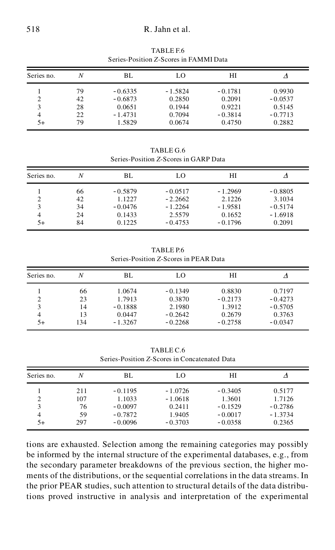### 518 R. Jahn et al.

| Series no. | N  | BL        | LO        | HІ        |           |
|------------|----|-----------|-----------|-----------|-----------|
|            | 79 | $-0.6335$ | $-1.5824$ | $-0.1781$ | 0.9930    |
| 2          | 42 | $-0.6873$ | 0.2850    | 0.2091    | $-0.0537$ |
| 3          | 28 | 0.0651    | 0.1944    | 0.9221    | 0.5145    |
| 4          | 22 | $-1.4731$ | 0.7094    | $-0.3814$ | $-0.7713$ |
| 5+         | 79 | 1.5829    | 0.0674    | 0.4750    | 0.2882    |

TABLE F.6 Series-Position *Z*-Scores in FAMMI Data

TABLE G.6 Series-Position *Z*-Scores in GARP Data

| Series no. | Ν  | BL        | LO        | HІ        |           |
|------------|----|-----------|-----------|-----------|-----------|
| 3          | 66 | $-0.5879$ | $-0.0517$ | $-1.2969$ | $-0.8805$ |
|            | 42 | 1.1227    | $-2.2662$ | 2.1226    | 3.1034    |
|            | 34 | $-0.0476$ | $-1.2264$ | $-1.9581$ | $-0.5174$ |
| 4          | 24 | 0.1433    | 2.5579    | 0.1652    | $-1.6918$ |
| 5+         | 84 | 0.1225    | $-0.4753$ | $-0.1796$ | 0.2091    |

TABLE P.6 Series-Position *Z*-Scores in PEAR Data

| Series no. | N   | BL        | LO        | НI        |           |
|------------|-----|-----------|-----------|-----------|-----------|
|            | 66  | 1.0674    | $-0.1349$ | 0.8830    | 0.7197    |
|            | 23  | 1.7913    | 0.3870    | $-0.2173$ | $-0.4273$ |
|            | 14  | $-0.1888$ | 2.1980    | 1.3912    | $-0.5705$ |
| 4          | 13  | 0.0447    | $-0.2642$ | 0.2679    | 0.3763    |
| 5+         | 134 | $-1.3267$ | $-0.2268$ | $-0.2758$ | $-0.0347$ |

TABLE C.6 Series-Position *Z*-Scores in Concatenated Data

| Series no. | N   | BL        | LO        | HІ        |           |
|------------|-----|-----------|-----------|-----------|-----------|
|            | 211 | $-0.1195$ | $-1.0726$ | $-0.3405$ | 0.5177    |
|            | 107 | 1.1033    | $-1.0618$ | 1.3601    | 1.7126    |
|            | 76  | $-0.0097$ | 0.2411    | $-0.1529$ | $-0.2786$ |
| 4          | 59  | $-0.7872$ | 1.9405    | $-0.0017$ | $-1.3734$ |
| 5+         | 297 | $-0.0096$ | $-0.3703$ | $-0.0358$ | 0.2365    |

tions are exhausted. Selection among the remaining categories may possibly be informed by the internal structure of the experimental databases, e.g., from the secondary parameter breakdowns of the previous section, the higher mo ments of the distributions, or the sequential correlations in the data streams. In the prior PEAR studies, such attention to structural details of the data distributions proved instructive in analysis and interpretation of the experimental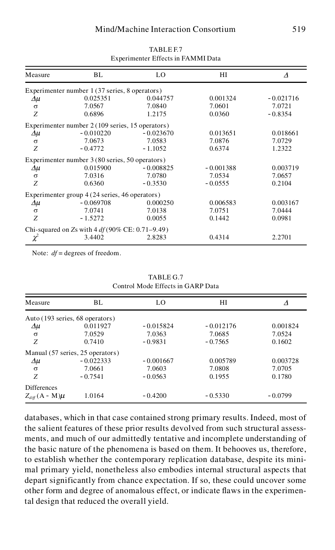| Measure  | BL                                                | LO          | НI          | Δ           |
|----------|---------------------------------------------------|-------------|-------------|-------------|
|          | Experimenter number 1 (37 series, 8 operators)    |             |             |             |
| Δμ       | 0.025351                                          | 0.044757    | 0.001324    | $-0.021716$ |
| $\sigma$ | 7.0567                                            | 7.0840      | 7.0601      | 7.0721      |
| Z        | 0.6896                                            | 1.2175      | 0.0360      | $-0.8354$   |
|          | Experimenter number 2 (109 series, 15 operators)  |             |             |             |
| Δμ       | $-0.010220$                                       | $-0.023670$ | 0.013651    | 0.018661    |
| $\sigma$ | 7.0673                                            | 7.0583      | 7.0876      | 7.0729      |
| Z        | $-0.4772$                                         | $-1.1052$   | 0.6374      | 1.2322      |
|          | Experimenter number 3 (80 series, 50 operators)   |             |             |             |
| Δμ       | 0.015900                                          | $-0.008825$ | $-0.001388$ | 0.003719    |
| $\sigma$ | 7.0316                                            | 7.0780      | 7.0534      | 7.0657      |
| Ζ        | 0.6360                                            | $-0.3530$   | $-0.0555$   | 0.2104      |
|          | Experimenter group 4 (24 series, 46 operators)    |             |             |             |
| Δμ       | $-0.069708$                                       | 0.000250    | 0.006583    | 0.003167    |
| $\sigma$ | 7.0741                                            | 7.0138      | 7.0751      | 7.0444      |
| Z        | $-1.5272$                                         | 0.0055      | 0.1442      | 0.0981      |
|          | Chi-squared on Zs with $4 df(90\%$ CE: 0.71–9.49) |             |             |             |
| $\chi^2$ | 3.4402                                            | 2.8283      | 0.4314      | 2.2701      |

TABLE F.7 Experimenter Effects in FAMMI Data

Note:  $df =$  degrees of freedom.

TABLE G.7 Control Mode Effects in GARP Data

| Measure                         | BL.                              | LO          | HІ          | Δ         |
|---------------------------------|----------------------------------|-------------|-------------|-----------|
| Auto (193 series, 68 operators) |                                  |             |             |           |
| $\Delta \mu$                    | 0.011927                         | $-0.015824$ | $-0.012176$ | 0.001824  |
| $\sigma$                        | 7.0529                           | 7.0363      | 7.0685      | 7.0524    |
| Z                               | 0.7410                           | $-0.9831$   | $-0.7565$   | 0.1602    |
|                                 | Manual (57 series, 25 operators) |             |             |           |
| Δμ                              | $-0.022333$                      | $-0.001667$ | 0.005789    | 0.003728  |
| $\sigma$                        | 7.0661                           | 7.0603      | 7.0808      | 7.0705    |
| Z                               | $-0.7541$                        | $-0.0563$   | 0.1955      | 0.1780    |
| <b>Differences</b>              |                                  |             |             |           |
| $Z_{diff}(A - M)\mu$            | 1.0164                           | $-0.4200$   | $-0.5330$   | $-0.0799$ |

databases, which in that case contained strong primary results. Indeed, most of the salient features of these prior results devolved from such structural assess ments, and much of our admittedly tentative and incomplete understanding of the basic nature of the phenomena is based on them. It behooves us, therefore, to establish whether the contemporary replication database, despite its mini mal primary yield, nonetheless also embodies internal structural aspects that depart significantly from chance expectation. If so, these could uncover some other form and degree of anomalous effect, or indicate flaws in the experimental design that reduced the overall yield.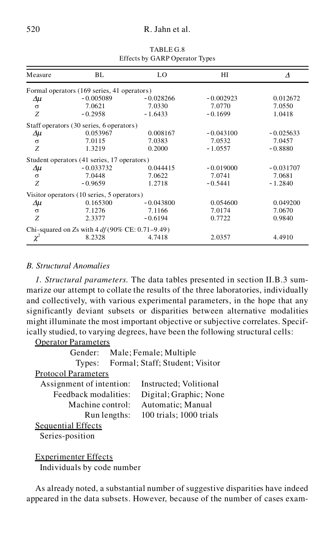### 520 R. Jahn et al.

| Measure      | BL                                                | LO.         | HI          | $\Lambda$   |
|--------------|---------------------------------------------------|-------------|-------------|-------------|
|              | Formal operators (169 series, 41 operators)       |             |             |             |
| Δμ           | $-0.005089$                                       | $-0.028266$ | $-0.002923$ | 0.012672    |
| $\sigma$     | 7.0621                                            | 7.0330      | 7.0770      | 7.0550      |
| Z            | $-0.2958$                                         | $-1.6433$   | $-0.1699$   | 1.0418      |
|              | Staff operators (30 series, 6 operators)          |             |             |             |
| Δμ           | 0.053967                                          | 0.008167    | $-0.043100$ | $-0.025633$ |
| $\sigma$     | 7.0115                                            | 7.0383      | 7.0532      | 7.0457      |
| Z            | 1.3219                                            | 0.2000      | $-1.0557$   | $-0.8880$   |
|              | Student operators (41 series, 17 operators)       |             |             |             |
| Δμ           | $-0.033732$                                       | 0.044415    | $-0.019000$ | $-0.031707$ |
| $\sigma$     | 7.0448                                            | 7.0622      | 7.0741      | 7.0681      |
| Z            | $-0.9659$                                         | 1.2718      | $-0.5441$   | $-1.2840$   |
|              | Visitor operators (10 series, 5 operators)        |             |             |             |
| $\Delta \mu$ | 0.165300                                          | $-0.043800$ | 0.054600    | 0.049200    |
| $\sigma$     | 7.1276                                            | 7.1166      | 7.0174      | 7.0670      |
| Z            | 2.3377                                            | $-0.6194$   | 0.7722      | 0.9840      |
|              | Chi-squared on Zs with $4 df(90\%$ CE: 0.71–9.49) |             |             |             |
| $\chi^2$     | 8.2328                                            | 4.7418      | 2.0357      | 4.4910      |

TABLE G.8 Effects by GARP Operator Types

### *B. Structural Anomalies*

*1. Structural parameters.* The data tables presented in section II.B.3 sum marize our attempt to collate the results of the three laboratories, individually and collectively, with various experimental parameters, in the hope that any significantly deviant subsets or disparities between alternative modalities might illuminate the most important objective or subjective correlates. Specifically studied, to varying degrees, have been the following structural cells: Operator Parameters

| Operator Parameters        |                                 |
|----------------------------|---------------------------------|
| Gender:                    | Male; Female; Multiple          |
| Types:                     | Formal; Staff; Student; Visitor |
| <b>Protocol Parameters</b> |                                 |
| Assignment of intention:   | Instructed; Volitional          |
| Feedback modalities:       | Digital; Graphic; None          |
| Machine control:           | Automatic; Manual               |
| Run lengths:               | 100 trials; 1000 trials         |
| <b>Sequential Effects</b>  |                                 |
| Series-position            |                                 |
|                            |                                 |

### Experimenter Effects Individuals by code number

As already noted, a substantial number of suggestive disparities have indeed appeared in the data subsets. However, because of the number of cases exam-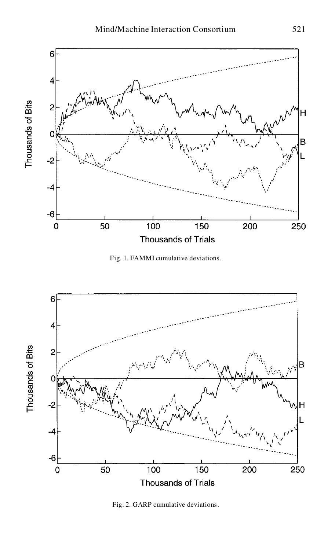

Fig. 1. FAMMI cumulative deviations.



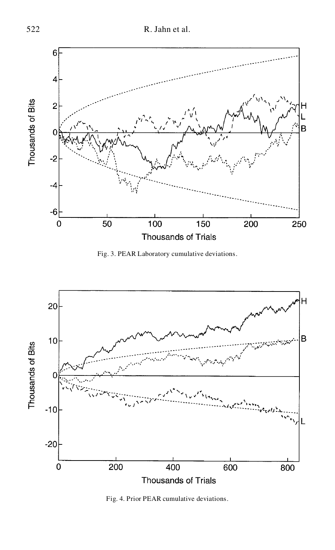

Fig. 3. PEAR Laboratory cumulative deviations.



Fig. 4. Prior PEAR cumulative deviations.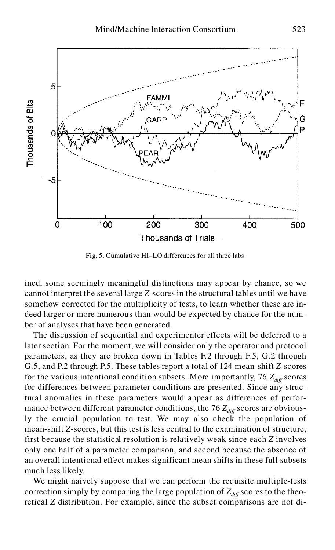

Fig. 5. Cumulative HI–LO differences for all three labs.

ined, some seemingly meaningful distinctions may appear by chance, so we cannot interpret the several large *Z*-scores in the structural tables until we have somehow corrected for the multiplicity of tests, to learn whether these are in deed larger or more numerous than would be expected by chance for the num ber of analyses that have been generated.

The discussion of sequential and experimenter effects will be deferred to a later section. For the moment, we will consider only the operator and protocol parameters, as they are broken down in Tables F.2 through F.5, G.2 through G.5, and P.2 through P.5. These tables report a total of 124 mean-shift *Z*-scores for the various intentional condition subsets. More importantly, 76  $Z_{diff}$  scores for differences between parameter conditions are presented. Since any structural anomalies in these parameters would appear as differences of perfor mance between different parameter conditions, the 76  $Z_{diff}$  scores are obviously the crucial population to test. We may also check the population of mean-shift *Z*-scores, but this test is less central to the examination of structure, first because the statistical resolution is relatively weak since each *Z* involves only one half of a parameter comparison, and second because the absence of an overall intentional effect makes significant mean shifts in these full subsets much less likely.

We might naively suppose that we can perform the requisite multiple-tests correction simply by comparing the large population of  $Z_{diff}$  scores to the theoretical *Z* distribution. For example, since the subset comparisons are not di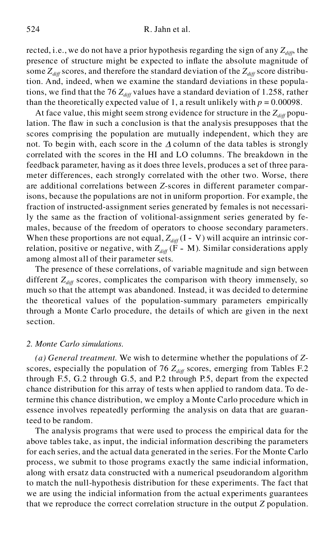rected, i.e., we do not have a prior hypothesis regarding the sign of any  $Z_{\text{diff}}$ , the presence of structure might be expected to inflate the absolute magnitude of some  $Z_{diff}$  scores, and therefore the standard deviation of the  $Z_{diff}$  score distribution. And, indeed, when we examine the standard deviations in these populations, we find that the 76  $Z_{\text{diff}}$  values have a standard deviation of 1.258, rather than the theoretically expected value of 1, a result unlikely with  $p = 0.00098$ .

At face value, this might seem strong evidence for structure in the  $Z_{diff}$  population. The flaw in such a conclusion is that the analysis presupposes that the scores comprising the population are mutually independent, which they are not. To begin with, each score in the  $\Delta$  column of the data tables is strongly correlated with the scores in the HI and LO columns. The breakdown in the feedback parameter, having as it does three levels, produces a set of three para meter differences, each strongly correlated with the other two. Worse, there are additional correlations between *Z*-scores in different parameter comparisons, because the populations are not in uniform proportion. For example, the fraction of instructed-assignment series generated by females is not necessarily the same as the fraction of volitional-assignment series generated by fe males, because of the freedom of operators to choose secondary parameters. When these proportions are not equal,  $Z_{diff}$  (I - V) will acquire an intrinsic correlation, positive or negative, with  $Z_{diff}$  ( $\tilde{F}$  - M). Similar considerations apply among almost all of their parameter sets.

The presence of these correlations, of variable magnitude and sign between different  $Z_{diff}$  scores, complicates the comparison with theory immensely, so much so that the attempt was abandoned. Instead, it was decided to determine the theoretical values of the population-summary parameters empirically through a Monte Carlo procedure, the details of which are given in the next section.

#### *2. Monte Carlo simulations.*

*(a) General treatment.* We wish to determine whether the populations of *Z*scores, especially the population of 76  $Z_{diff}$  scores, emerging from Tables F.2 through F.5, G.2 through G.5, and P.2 through P.5, depart from the expected chance distribution for this array of tests when applied to random data. To determine this chance distribution, we employ a Monte Carlo procedure which in essence involves repeatedly performing the analysis on data that are guaranteed to be random.

The analysis programs that were used to process the empirical data for the above tables take, as input, the indicial information describing the parameters for each series, and the actual data generated in the series. For the Monte Carlo process, we submit to those programs exactly the same indicial information, along with ersatz data constructed with a numerical pseudorandom algorithm to match the null-hypothesis distribution for these experiments. The fact that we are using the indicial information from the actual experiments guarantees that we reproduce the correct correlation structure in the output *Z* population.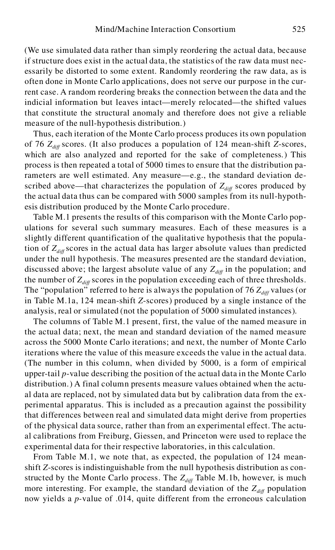(We use simulated data rather than simply reordering the actual data, because if structure does exist in the actual data, the statistics of the raw data must nec essarily be distorted to some extent. Randomly reordering the raw data, as is often done in Monte Carlo applications, does not serve our purpose in the current case. A random reordering breaks the connection between the data and the indicial information but leaves intact—merely relocated—the shifted values that constitute the structural anomaly and therefore does not give a reliable measure of the null-hypothesis distribution.)

Thus, each iteration of the Monte Carlo process produces its own population of 76 *Zdiff* scores. (It also produces a population of 124 mean-shift *Z*-scores, which are also analyzed and reported for the sake of completeness.) This process is then repeated a total of 5000 times to ensure that the distribution parameters are well estimated. Any measure—e.g., the standard deviation described above—that characterizes the population of  $Z_{diff}$  scores produced by the actual data thus can be compared with 5000 samples from its null-hypothesis distribution produced by the Monte Carlo procedure.

Table M.1 presents the results of this comparison with the Monte Carlo pop ulations for several such summary measures. Each of these measures is a slightly different quantification of the qualitative hypothesis that the population of  $Z_{diff}$  scores in the actual data has larger absolute values than predicted under the null hypothesis. The measures presented are the standard deviation, discussed above; the largest absolute value of any  $Z_{\text{diff}}$  in the population; and the number of  $Z_{diff}$  scores in the population exceeding each of three thresholds. The "population" referred to here is always the population of 76  $Z_{diff}$  values (or in Table M.1a, 124 mean-shift *Z*-scores) produced by a single instance of the analysis, real or simulated (not the population of 5000 simulated instances).

The columns of Table M.1 present, first, the value of the named measure in the actual data; next, the mean and standard deviation of the named measure across the 5000 Monte Carlo iterations; and next, the number of Monte Carlo iterations where the value of this measure exceeds the value in the actual data. (The number in this column, when divided by 5000, is a form of empirical upper-tail *p*-value describing the position of the actual data in the Monte Carlo distribution.) A final column presents measure values obtained when the actu al data are replaced, not by simulated data but by calibration data from the ex perimental apparatus. This is included as a precaution against the possibility that differences between real and simulated data might derive from properties of the physical data source, rather than from an experimental effect. The actu al calibrations from Freiburg, Giessen, and Princeton were used to replace the experimental data for their respective laboratories, in this calculation.

From Table M.1, we note that, as expected, the population of 124 meanshift *Z*-scores is indistinguishable from the null hypothesis distribution as constructed by the Monte Carlo process. The  $Z_{diff}$  Table M.1b, however, is much more interesting. For example, the standard deviation of the  $Z_{diff}$  population now yields a *p-*value of .014, quite different from the erroneous calculation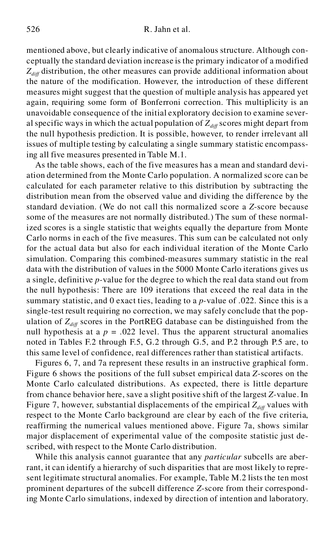mentioned above, but clearly indicative of anomalous structure. Although con ceptually the standard deviation increase is the primary indicator of a modified  $Z_{diff}$  distribution, the other measures can provide additional information about the nature of the modification. However, the introduction of these different measures might suggest that the question of multiple analysis has appeared yet again, requiring some form of Bonferroni correction. This multiplicity is an unavoidable consequence of the initial exploratory decision to examine sever al specific ways in which the actual population of  $Z_{diff}$  scores might depart from the null hypothesis prediction. It is possible, however, to render irrelevant all issues of multiple testing by calculating a single summary statistic encompassing all five measures presented in Table M.1.

As the table shows, each of the five measures has a mean and standard devi ation determined from the Monte Carlo population. A normalized score can be calculated for each parameter relative to this distribution by subtracting the distribution mean from the observed value and dividing the difference by the standard deviation. (We do not call this normalized score a *Z*-score because some of the measures are not normally distributed.) The sum of these normalized scores is a single statistic that weights equally the departure from Monte Carlo norms in each of the five measures. This sum can be calculated not only for the actual data but also for each individual iteration of the Monte Carlo simulation. Comparing this combined-measures summary statistic in the real data with the distribution of values in the 5000 Monte Carlo iterations gives us a single, definitive *p-*value for the degree to which the real data stand out from the null hypothesis: There are 109 iterations that exceed the real data in the summary statistic, and 0 exact ties, leading to a *p-*value of .022. Since this is a single-test result requiring no correction, we may safely conclude that the pop ulation of  $Z_{diff}$  scores in the PortREG database can be distinguished from the null hypothesis at a  $p = .022$  level. Thus the apparent structural anomalies noted in Tables F.2 through F.5, G.2 through G.5, and P.2 through P.5 are, to this same level of confidence, real differences rather than statistical artifacts.

Figures 6, 7, and 7a represent these results in an instructive graphical form. Figure 6 shows the positions of the full subset empirical data *Z*-scores on the Monte Carlo calculated distributions. As expected, there is little departure from chance behavior here, save a slight positive shift of the largest *Z-*value. In Figure 7, however, substantial displacements of the empirical  $Z_{\text{diff}}$  values with respect to the Monte Carlo background are clear by each of the five criteria, reaffirming the numerical values mentioned above. Figure 7a, shows similar major displacement of experimental value of the composite statistic just described, with respect to the Monte Carlo distribution.

While this analysis cannot guarantee that any *particular* subcells are aberrant, it can identify a hierarchy of such disparities that are most likely to represent legitimate structural anomalies. For example, Table M.2 lists the ten most prominent departures of the subcell difference *Z*-score from their corresponding Monte Carlo simulations, indexed by direction of intention and laboratory.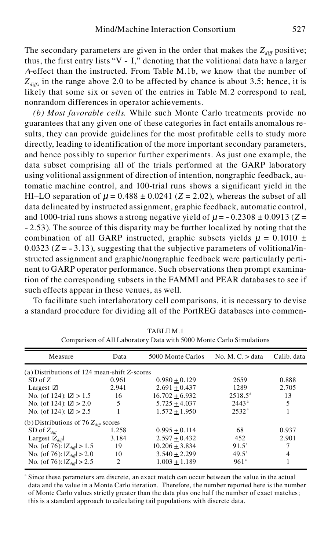The secondary parameters are given in the order that makes the  $Z_{diff}$  positive; thus, the first entry lists "V - I," denoting that the volitional data have a larger  $\Delta$ -effect than the instructed. From Table M.1b, we know that the number of  $Z_{\text{diffs}}$  in the range above 2.0 to be affected by chance is about 3.5; hence, it is likely that some six or seven of the entries in Table M.2 correspond to real, nonrandom differences in operator achievements.

*(b) Most favorable cells.* While such Monte Carlo treatments provide no guarantees that any given one of these categories in fact entails anomalous results, they can provide guidelines for the most profitable cells to study more directly, leading to identification of the more important secondary parameters, and hence possibly to superior further experiments. As just one example, the data subset comprising all of the trials performed at the GARP laboratory using volitional assignment of direction of intention, nongraphic feedback, automatic machine control, and 100-trial runs shows a significant yield in the HI–LO separation of  $\mu$  = 0.488  $\pm$  0.0241 (*Z* = 2.02), whereas the subset of all data delineated by instructed assignment, graphic feedback, automatic control, and 1000-trial runs shows a strong negative yield of  $\mu$  =  $-$  0.2308  $\pm$  0.0913 (*Z* = - 2.53). The source of this disparity may be further localized by noting that the combination of all GARP instructed, graphic subsets yields  $\mu = 0.1010 \pm 100$ 0.0323 ( $Z = -3.13$ ), suggesting that the subjective parameters of volitional/instructed assignment and graphic/nongraphic feedback were particularly perti nent to GARP operator performance. Such observations then prompt examination of the corresponding subsets in the FAMMI and PEAR databases to see if such effects appear in these venues, as well.

To facilitate such interlaboratory cell comparisons, it is necessary to devise a standard procedure for dividing all of the PortREG databases into commen-

| Measure                                      | Data  | 5000 Monte Carlos  | No. M. $C. > data$ | Calib. data |
|----------------------------------------------|-------|--------------------|--------------------|-------------|
| (a) Distributions of 124 mean-shift Z-scores |       |                    |                    |             |
| $SD$ of $Z$                                  | 0.961 | $0.980 \pm 0.129$  | 2659               | 0.888       |
| Largest $ Z $                                | 2.941 | $2.691 \pm 0.437$  | 1289               | 2.705       |
| No. (of $124$ ): $ Z  > 1.5$                 | 16    | $16.702 \pm 6.932$ | $2518.5^{\circ}$   | 13          |
| No. (of $124$ ): $ Z  > 2.0$                 | 5     | $5.725 \pm 4.037$  | $2443^{\rm a}$     | 5           |
| No. (of 124): $ Z  > 2.5$                    | 1     | $1.572 \pm 1.950$  | $2532^{\rm a}$     |             |
| (b) Distributions of 76 $Z_{diff}$ scores    |       |                    |                    |             |
| SD of $Z_{diff}$                             | 1.258 | $0.995 \pm 0.114$  | 68                 | 0.937       |
| Largest $ Z_{di\theta} $                     | 3.184 | $2.597 \pm 0.432$  | 452                | 2.901       |
| No. (of 76): $ Z_{diff}  > 1.5$              | 19    | $10.206 \pm 3.834$ | $91.5^{\circ}$     | 7           |
| No. (of 76): $ Z_{diff}  > 2.0$              | 10    | $3.540 \pm 2.299$  | $49.5^{\rm a}$     | 4           |
| No. (of 76): $ Z_{diff}  > 2.5$              | 2     | $1.003 \pm 1.189$  | $961^{\circ}$      |             |

TABLE M.1 Comparison of All Laboratory Data with 5000 Monte Carlo Simulations

<sup>a</sup> Since these parameters are discrete, an exact match can occur between the value in the actual data and the value in a Monte Carlo iteration. Therefore, the number reported here is the number of Monte Carlo values strictly greater than the data plus one half the number of exact matches; this is a standard approach to calculating tail populations with discrete data.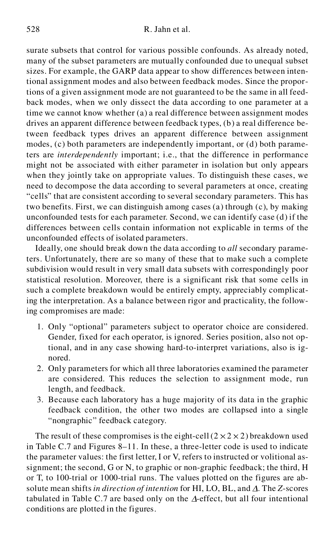surate subsets that control for various possible confounds. As already noted, many of the subset parameters are mutually confounded due to unequal subset sizes. For example, the GARP data appear to show differences between intentional assignment modes and also between feedback modes. Since the proportions of a given assignment mode are not guaranteed to be the same in all feed back modes, when we only dissect the data according to one parameter at a time we cannot know whether (a) a real difference between assignment modes drives an apparent difference between feedback types, (b) a real difference between feedback types drives an apparent difference between assignment modes, (c) both parameters are independently important, or (d) both parameters are *interdependently* important; i.e., that the difference in performance might not be associated with either parameter in isolation but only appears when they jointly take on appropriate values. To distinguish these cases, we need to decompose the data according to several parameters at once, creating "cells" that are consistent according to several secondary parameters. This has two benefits. First, we can distinguish among cases (a) through (c), by making unconfounded tests for each parameter. Second, we can identify case (d) if the differences between cells contain information not explicable in terms of the unconfounded effects of isolated parameters.

Ideally, one should break down the data according to *all* secondary parameters. Unfortunately, there are so many of these that to make such a complete subdivision would result in very small data subsets with correspondingly poor statistical resolution. Moreover, there is a significant risk that some cells in such a complete breakdown would be entirely empty, appreciably complicating the interpretation. As a balance between rigor and practicality, the following compromises are made:

- 1. Only "optional" parameters subject to operator choice are considered. Gender, fixed for each operator, is ignored. Series position, also not optional, and in any case showing hard-to-interpret variations, also is ig nored.
- 2. Only parameters for which all three laboratories examined the parameter are considered. This reduces the selection to assignment mode, run length, and feedback.
- 3. Because each laboratory has a huge majority of its data in the graphic feedback condition, the other two modes are collapsed into a single "nongraphic" feedback category.

The result of these compromises is the eight-cell  $(2 \times 2 \times 2)$  breakdown used in Table C.7 and Figures 8–11. In these, a three-letter code is used to indicate the parameter values: the first letter, I or V, refers to instructed or volitional assignment; the second, G or N, to graphic or non-graphic feedback; the third, H or T, to 100-trial or 1000-trial runs. The values plotted on the figures are absolute mean shifts *in direction of intention* for HI, LO, BL, and  $\Delta$ . The *Z*-scores tabulated in Table C.7 are based only on the  $\Delta$ -effect, but all four intentional conditions are plotted in the figures.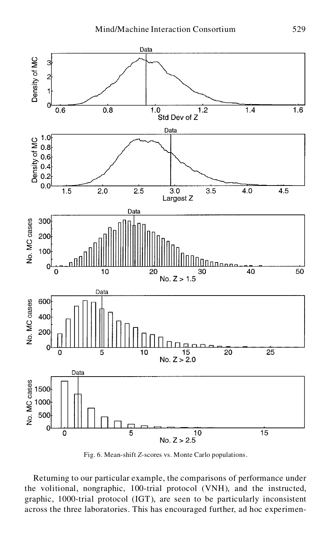

Fig. 6. Mean-shift *Z*-scores vs. Monte Carlo populations.

Returning to our particular example, the comparisons of performance under the volitional, nongraphic, 100-trial protocol (VNH), and the instructed, graphic, 1000-trial protocol (IGT), are seen to be particularly inconsistent across the three laboratories. This has encouraged further, ad hoc experimen-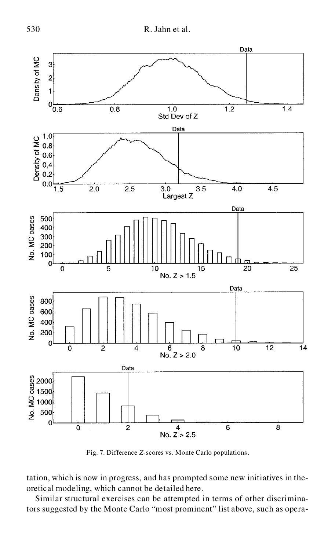

Fig. 7. Difference *Z*-scores vs. Monte Carlo populations.

tation, which is now in progress, and has prompted some new initiatives in the oretical modeling, which cannot be detailed here.

Similar structural exercises can be attempted in terms of other discriminators suggested by the Monte Carlo "most prominent" list above, such as opera-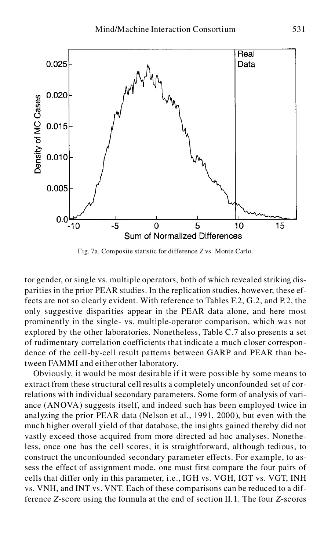

Fig. 7a. Composite statistic for difference *Z* vs. Monte Carlo.

tor gender, or single vs. multiple operators, both of which revealed striking dis parities in the prior PEAR studies. In the replication studies, however, these effects are not so clearly evident. With reference to Tables F.2, G.2, and P.2, the only suggestive disparities appear in the PEAR data alone, and here most prominently in the single- vs. multiple-operator comparison, which was not explored by the other laboratories. Nonetheless, Table C.7 also presents a set of rudimentary correlation coefficients that indicate a much closer correspon dence of the cell-by-cell result patterns between GARP and PEAR than between FAMMI and either other laboratory.

Obviously, it would be most desirable if it were possible by some means to extract from these structural cell results a completely unconfounded set of correlations with individual secondary parameters. Some form of analysis of vari ance (ANOVA) suggests itself, and indeed such has been employed twice in analyzing the prior PEAR data (Nelson et al., 1991, 2000), but even with the much higher overall yield of that database, the insights gained thereby did not vastly exceed those acquired from more directed ad hoc analyses. Nonetheless, once one has the cell scores, it is straightforward, although tedious, to construct the unconfounded secondary parameter effects. For example, to assess the effect of assignment mode, one must first compare the four pairs of cells that differ only in this parameter, i.e., IGH vs. VGH, IGT vs. VGT, INH vs. VNH, and INT vs. VNT. Each of these comparisons can be reduced to a difference *Z*-score using the formula at the end of section II.1. The four *Z*-scores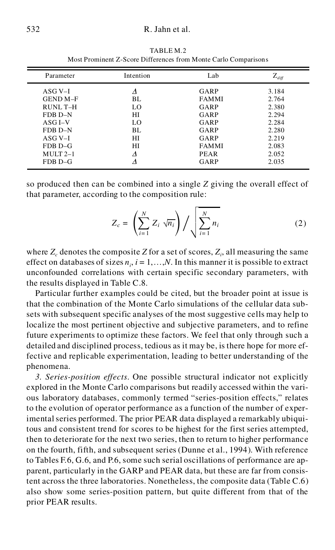| Parameter       | Intention | Lab          | $\mathrm{Z}_{\textit{diff}}$ |
|-----------------|-----------|--------------|------------------------------|
| $ASG V-I$       | Λ         | GARP         | 3.184                        |
| <b>GEND M-F</b> | BL.       | <b>FAMMI</b> | 2.764                        |
| RUNL T-H        | LO.       | GARP         | 2.380                        |
| FDB D-N         | НI        | GARP         | 2.294                        |
| $ASG I-V$       | LO.       | GARP         | 2.284                        |
| FDB D-N         | BL.       | GARP         | 2.280                        |
| $ASG V-I$       | НI        | GARP         | 2.219                        |
| FDB D-G         | НI        | <b>FAMMI</b> | 2.083                        |
| $MULT 2-1$      | л         | <b>PEAR</b>  | 2.052                        |
| $FDBD-G$        |           | GARP         | 2.035                        |
|                 |           |              |                              |

TABLE M.2 Most Prominent Z-Score Differences from Monte Carlo Comparisons

so produced then can be combined into a single *Z* giving the overall effect of that parameter, according to the composition rule:

$$
Z_c = \left(\sum_{i=1}^N Z_i \sqrt{n_i}\right) / \sqrt{\sum_{i=1}^N n_i} \tag{2}
$$

where  $Z_c$  denotes the composite  $Z$  for a set of scores,  $Z_i$ , all measuring the same effect on databases of sizes  $n_i$ ,  $i = 1, \ldots, N$ . In this manner it is possible to extract unconfounded correlations with certain specific secondary parameters, with the results displayed in Table C.8.

Particular further examples could be cited, but the broader point at issue is that the combination of the Monte Carlo simulations of the cellular data subsets with subsequent specific analyses of the most suggestive cells may help to localize the most pertinent objective and subjective parameters, and to refine future experiments to optimize these factors. We feel that only through such a detailed and disciplined process, tedious as it may be, is there hope for more effective and replicable experimentation, leading to better understanding of the phenomena.

*3. Series-position effects.* One possible structural indicator not explicitly explored in the Monte Carlo comparisons but readily accessed within the vari ous laboratory databases, commonly termed "series-position effects," relates to the evolution of operator performance as a function of the number of experimental series performed. The prior PEAR data displayed a remarkably ubiquitous and consistent trend for scores to be highest for the first series attempted, then to deteriorate for the next two series, then to return to higher performance on the fourth, fifth, and subsequent series (Dunne et al., 1994). With reference to Tables F.6, G.6, and P.6, some such serial oscillations of performance are ap parent, particularly in the GARP and PEAR data, but these are far from consistent across the three laboratories. Nonetheless, the composite data (Table C.6) also show some series-position pattern, but quite different from that of the prior PEAR results.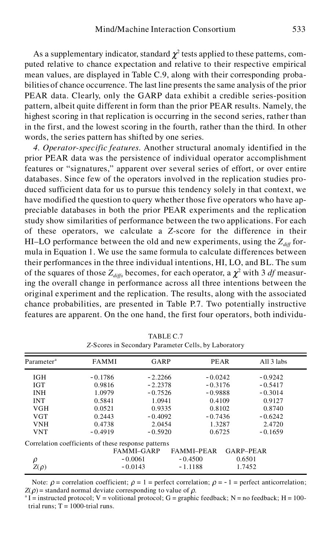As a supplementary indicator, standard  $\chi^2$  tests applied to these patterns, computed relative to chance expectation and relative to their respective empirical mean values, are displayed in Table C.9, along with their corresponding proba bilities of chance occurrence. The last line presents the same analysis of the prior PEAR data. Clearly, only the GARP data exhibit a credible series-position pattern, albeit quite different in form than the prior PEAR results. Namely, the highest scoring in that replication is occurring in the second series, rather than in the first, and the lowest scoring in the fourth, rather than the third. In other words, the series pattern has shifted by one series.

*4. Operator-specific features.* Another structural anomaly identified in the prior PEAR data was the persistence of individual operator accomplishment features or "signatures," apparent over several series of effort, or over entire databases. Since few of the operators involved in the replication studies pro duced sufficient data for us to pursue this tendency solely in that context, we have modified the question to query whether those five operators who have ap preciable databases in both the prior PEAR experiments and the replication study show similarities of performance between the two applications. For each of these operators, we calculate a *Z*-score for the difference in their HI–LO performance between the old and new experiments, using the  $Z_{\text{diff}}$  formula in Equation 1. We use the same formula to calculate differences between their performances in the three individual intentions, HI, LO, and BL. The sum of the squares of those  $Z_{diffs}$  becomes, for each operator, a  $\chi^2$  with 3 *df* measuring the overall change in performance across all three intentions between the original experiment and the replication. The results, along with the associated chance probabilities, are presented in Table P.7. Two potentially instructive features are apparent. On the one hand, the first four operators, both individu-

| Parameter <sup>a</sup> | <b>FAMMI</b>                                        | GARP              | <b>PEAR</b>       | All 3 labs |
|------------------------|-----------------------------------------------------|-------------------|-------------------|------------|
| <b>IGH</b>             | $-0.1786$                                           | $-2.2266$         | $-0.0242$         | $-0.9242$  |
| IGT                    | 0.9816                                              | $-2.2378$         | $-0.3176$         | $-0.5417$  |
| INH                    | 1.0979                                              | $-0.7526$         | $-0.9888$         | $-0.3014$  |
| <b>INT</b>             | 0.5841                                              | 1.0941            | 0.4109            | 0.9127     |
| <b>VGH</b>             | 0.0521                                              | 0.9335            | 0.8102            | 0.8740     |
| <b>VGT</b>             | 0.2443                                              | $-0.4092$         | $-0.7436$         | $-0.6242$  |
| <b>VNH</b>             | 0.4738                                              | 2.0454            | 1.3287            | 2.4720     |
| <b>VNT</b>             | $-0.4919$                                           | $-0.5920$         | 0.6725            | $-0.1659$  |
|                        | Correlation coefficients of these response patterns |                   |                   |            |
|                        |                                                     | <b>FAMMI-GARP</b> | <b>FAMMI-PEAR</b> | GARP-PEAR  |
| ρ                      |                                                     | $-0.0061$         | $-0.4500$         | 0.6501     |
| $Z(\rho)$              |                                                     | $-0.0143$         | $-1.1188$         | 1.7452     |

TABLE C.7 *Z*-Scores in Secondary Parameter Cells, by Laboratory

Note:  $\rho$  = correlation coefficient;  $\rho = 1$  = perfect correlation;  $\rho = -1$  = perfect anticorrelation;  $Z(\rho)$  = standard normal deviate corresponding to value of  $\rho$ .

 $a<sup>a</sup> I$  = instructed protocol; V = volitional protocol; G = graphic feedback; N = no feedback; H = 100trial runs;  $T = 1000$ -trial runs.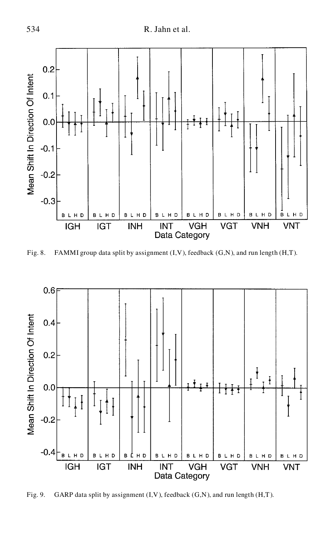

Fig. 8. FAMMI group data split by assignment (I,V), feedback (G,N), and run length (H,T).



Fig. 9. GARP data split by assignment (I,V), feedback (G,N), and run length (H,T).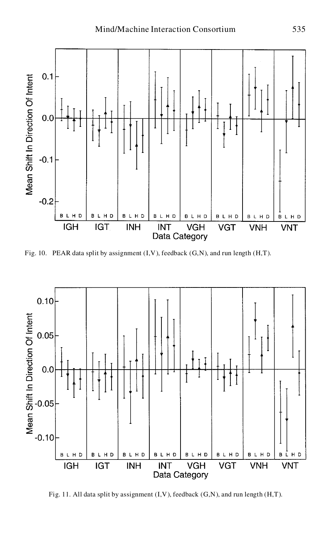

Fig. 10. PEAR data split by assignment (I,V), feedback (G,N), and run length (H,T).



Fig. 11. All data split by assignment (I,V), feedback (G,N), and run length (H,T).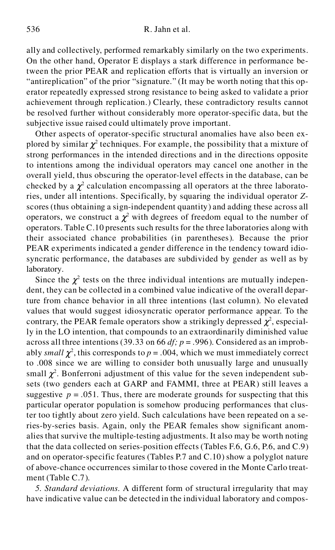ally and collectively, performed remarkably similarly on the two experiments. On the other hand, Operator E displays a stark difference in performance between the prior PEAR and replication efforts that is virtually an inversion or "antireplication" of the prior "signature." (It may be worth noting that this op erator repeatedly expressed strong resistance to being asked to validate a prior achievement through replication.) Clearly, these contradictory results cannot be resolved further without considerably more operator-specific data, but the subjective issue raised could ultimately prove important.

Other aspects of operator-specific structural anomalies have also been ex plored by similar  $\chi^2$  techniques. For example, the possibility that a mixture of strong performances in the intended directions and in the directions opposite to intentions among the individual operators may cancel one another in the overall yield, thus obscuring the operator-level effects in the database, can be checked by a  $\chi^2$  calculation encompassing all operators at the three laboratories, under all intentions. Specifically, by squaring the individual operator *Z*scores (thus obtaining a sign-independent quantity) and adding these across all operators, we construct a  $\chi^2$  with degrees of freedom equal to the number of operators. Table C.10 presents such results for the three laboratories along with their associated chance probabilities (in parentheses). Because the prior PEAR experiments indicated a gender difference in the tendency toward idiosyncratic performance, the databases are subdivided by gender as well as by laboratory.

Since the  $\chi^2$  tests on the three individual intentions are mutually independent, they can be collected in a combined value indicative of the overall departure from chance behavior in all three intentions (last column). No elevated values that would suggest idiosyncratic operator performance appear. To the contrary, the PEAR female operators show a strikingly depressed  $\chi^2$ , especially in the LO intention, that compounds to an extraordinarily diminished value across all three intentions (39.33 on 66  $df$ ;  $p = .996$ ). Considered as an improbably *small*  $\chi^2$ , this corresponds to  $p = .004$ , which we must immediately correct to .008 since we are willing to consider both unusually large and unusually small  $\chi^2$ . Bonferroni adjustment of this value for the seven independent subsets (two genders each at GARP and FAMMI, three at PEAR) still leaves a suggestive  $p = .051$ . Thus, there are moderate grounds for suspecting that this particular operator population is somehow producing performances that cluster too tightly about zero yield. Such calculations have been repeated on a series-by-series basis. Again, only the PEAR females show significant anom alies that survive the multiple-testing adjustments. It also may be worth noting that the data collected on series-position effects (Tables F.6, G.6, P.6, and C.9) and on operator-specific features (Tables P.7 and C.10) show a polyglot nature of above-chance occurrences similar to those covered in the Monte Carlo treat ment (Table C.7).

*5. Standard deviations.* A different form of structural irregularity that may have indicative value can be detected in the individual laboratory and compos-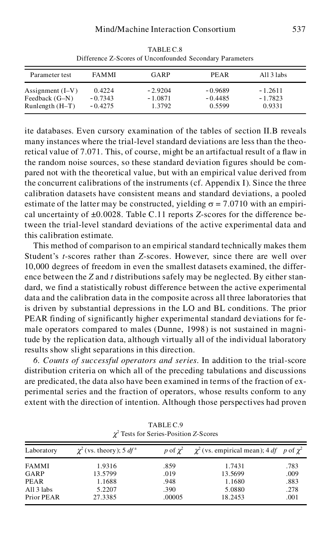| Parameter test                                          | <b>FAMMI</b>                     | GARP                             | PEAR                             | All 3 labs                       |  |
|---------------------------------------------------------|----------------------------------|----------------------------------|----------------------------------|----------------------------------|--|
| Assignment $(I-V)$<br>Feedback (G–N)<br>Runlength (H-T) | 0.4224<br>$-0.7343$<br>$-0.4275$ | $-2.9204$<br>$-1.0871$<br>1.3792 | $-0.9689$<br>$-0.4485$<br>0.5599 | $-1.2611$<br>$-1.7823$<br>0.9331 |  |

TABLE C.8 Difference Z-Scores of Unconfounded Secondary Parameters

ite databases. Even cursory examination of the tables of section II.B reveals many instances where the trial-level standard deviations are less than the theoretical value of 7.071. This, of course, might be an artifactual result of a flaw in the random noise sources, so these standard deviation figures should be com pared not with the theoretical value, but with an empirical value derived from the concurrent calibrations of the instruments (cf. Appendix I). Since the three calibration datasets have consistent means and standard deviations, a pooled estimate of the latter may be constructed, yielding  $\sigma = 7.0710$  with an empirical uncertainty of ±0.0028. Table C.11 reports *Z*-scores for the difference between the trial-level standard deviations of the active experimental data and this calibration estimate.

This method of comparison to an empirical standard technically makes them Student's *t-*scores rather than *Z*-scores. However, since there are well over 10,000 degrees of freedom in even the smallest datasets examined, the differ ence between the *Z* and *t* distributions safely may be neglected. By either stan dard, we find a statistically robust difference between the active experimental data and the calibration data in the composite across all three laboratories that is driven by substantial depressions in the LO and BL conditions. The prior PEAR finding of significantly higher experimental standard deviations for fe male operators compared to males (Dunne, 1998) is not sustained in magnitude by the replication data, although virtually all of the individual laboratory results show slight separations in this direction.

*6. Counts of successful operators and series.* In addition to the trial-score distribution criteria on which all of the preceding tabulations and discussions are predicated, the data also have been examined in terms of the fraction of ex perimental series and the fraction of operators, whose results conform to any extent with the direction of intention. Although those perspectives had proven

| Laboratory   | $\chi^2$ (vs. theory); 5 df <sup>a</sup> | p of $\chi^2$ | $\chi^2$ (vs. empirical mean); 4 df p of $\chi^2$ |      |
|--------------|------------------------------------------|---------------|---------------------------------------------------|------|
| <b>FAMMI</b> | 1.9316                                   | .859          | 1.7431                                            | .783 |
| GARP         | 13.5799                                  | .019          | 13.5699                                           | .009 |
| PEAR         | 1.1688                                   | .948          | 1.1680                                            | .883 |
| All 3 labs   | 5.2207                                   | .390          | 5.0880                                            | .278 |
| Prior PEAR   | 27.3385                                  | .00005        | 18.2453                                           | .001 |

TABLE C.9 <sup>2</sup> Tests for Series-Position *Z*-Scores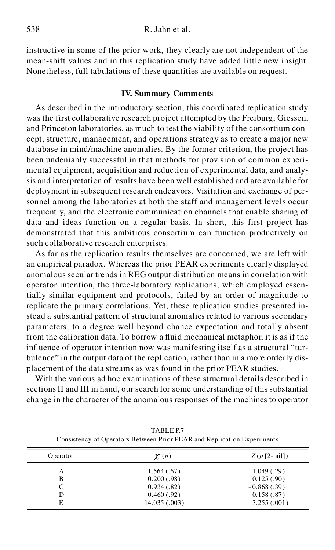instructive in some of the prior work, they clearly are not independent of the mean-shift values and in this replication study have added little new insight. Nonetheless, full tabulations of these quantities are available on request.

#### **IV. Summary Comments**

As described in the introductory section, this coordinated replication study was the first collaborative research project attempted by the Freiburg, Giessen, and Princeton laboratories, as much to test the viability of the consortium con cept, structure, management, and operations strategy as to create a major new database in mind/machine anomalies. By the former criterion, the project has been undeniably successful in that methods for provision of common experi mental equipment, acquisition and reduction of experimental data, and analysis and interpretation of results have been well established and are available for deployment in subsequent research endeavors. Visitation and exchange of personnel among the laboratories at both the staff and management levels occur frequently, and the electronic communication channels that enable sharing of data and ideas function on a regular basis. In short, this first project has demonstrated that this ambitious consortium can function productively on such collaborative research enterprises.

As far as the replication results themselves are concerned, we are left with an empirical paradox. Whereas the prior PEAR experiments clearly displayed anomalous secular trends in REG output distribution means in correlation with operator intention, the three-laboratory replications, which employed essentially similar equipment and protocols, failed by an order of magnitude to replicate the primary correlations. Yet, these replication studies presented instead a substantial pattern of structural anomalies related to various secondary parameters, to a degree well beyond chance expectation and totally absent from the calibration data. To borrow a fluid mechanical metaphor, it is as if the influence of operator intention now was manifesting itself as a structural "tur bulence" in the output data of the replication, rather than in a more orderly dis placement of the data streams as was found in the prior PEAR studies.

With the various ad hoc examinations of these structural details described in sections II and III in hand, our search for some understanding of this substantial change in the character of the anomalous responses of the machines to operator

| Operator | $\chi^2(p)$   | $Z(p$ [2-tail]) |
|----------|---------------|-----------------|
| А        | 1.564(.67)    | 1.049(0.29)     |
| B        | 0.200(.98)    | 0.125(.90)      |
|          | 0.934(.82)    | $-0.868(.39)$   |
| D        | 0.460(0.92)   | 0.158(.87)      |
| E        | 14.035 (.003) | 3.255(.001)     |

TABLE P.7 Consistency of Operators Between Prior PEAR and Replication Experiments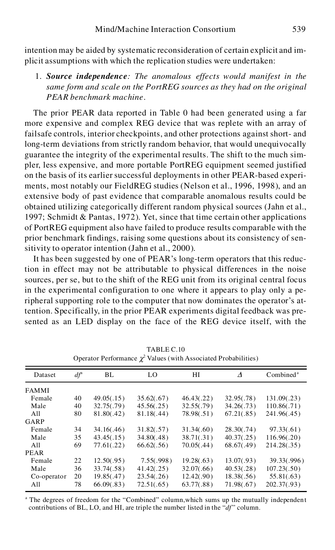intention may be aided by systematic reconsideration of certain explicit and im plicit assumptions with which the replication studies were undertaken:

1. *Source independence: The anomalous effects would manifest in the same form and scale on the PortREG sources as they had on the original PEAR benchmark machine*.

The prior PEAR data reported in Table 0 had been generated using a far more expensive and complex REG device that was replete with an array of failsafe controls, interior checkpoints, and other protections against short- and long-term deviations from strictly random behavior, that would unequivocally guarantee the integrity of the experimental results. The shift to the much sim pler, less expensive, and more portable PortREG equipment seemed justified on the basis of its earlier successful deployments in other PEAR-based experi ments, most notably our FieldREG studies (Nelson et al., 1996, 1998), and an extensive body of past evidence that comparable anomalous results could be obtained utilizing categorically different random physical sources (Jahn et al., 1997; Schmidt & Pantas, 1972). Yet, since that time certain other applications of PortREG equipment also have failed to produce results comparable with the prior benchmark findings, raising some questions about its consistency of sensitivity to operator intention (Jahn et al., 2000).

It has been suggested by one of PEAR's long-term operators that this reduction in effect may not be attributable to physical differences in the noise sources, per se, but to the shift of the REG unit from its original central focus in the experimental configuration to one where it appears to play only a peripheral supporting role to the computer that now dominates the operator's attention. Specifically, in the prior PEAR experiments digital feedback was presented as an LED display on the face of the REG device itself, with the

|              |                   |            | Operator Performance $\chi^2$ Values (with Associated Probabilities) |            |            |                       |
|--------------|-------------------|------------|----------------------------------------------------------------------|------------|------------|-----------------------|
| Dataset      | $df^{\mathrm{a}}$ | BL         | LO                                                                   | НI         | Δ          | Combined <sup>a</sup> |
| <b>FAMMI</b> |                   |            |                                                                      |            |            |                       |
| Female       | 40                | 49.05(.15) | 35.62(.67)                                                           | 46.43(.22) | 32.95(.78) | 131.09(.23)           |
| Male         | 40                | 32.75(.79) | 45.56(.25)                                                           | 32.55(.79) | 34.26(.73) | 110.86(.71)           |
| All          | 80                | 81.80(.42) | 81.18(.44)                                                           | 78.98(.51) | 67.21(.85) | 241.96(.45)           |
| GARP         |                   |            |                                                                      |            |            |                       |
| Female       | 34                | 34.16(.46) | 31.82(.57)                                                           | 31.34(.60) | 28.30(.74) | 97.33(.61)            |
| Male         | 35                | 43.45(.15) | 34.80(.48)                                                           | 38.71(.31) | 40.37(.25) | 116.96(.20)           |
| All          | 69                | 77.61(.22) | 66.62(.56)                                                           | 70.05(.44) | 68.67(.49) | 214.28(.35)           |
| PEAR         |                   |            |                                                                      |            |            |                       |
| Female       | 22                | 12.50(.95) | 7.55(.998)                                                           | 19.28(.63) | 13.07(.93) | 39.33(.996)           |
| Male         | 36                | 33.74(.58) | 41.42(.25)                                                           | 32.07(.66) | 40.53(.28) | 107.23(.50)           |
| Co-operator  | 20                | 19.85(.47) | 23.54(.26)                                                           | 12.42(.90) | 18.38(.56) | 55.81(.63)            |
| All          | 78                | 66.09(.83) | 72.51(.65)                                                           | 63.77(.88) | 71.98(.67) | 202.37(.93)           |

TABLE C.10

The degrees of freedom for the "Combined" column, which sums up the mutually independent contributions of BL, LO, and HI, are triple the number listed in the "*df*" column.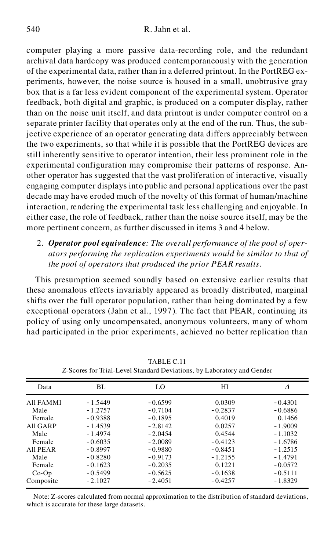computer playing a more passive data-recording role, and the redundant archival data hardcopy was produced contemporaneously with the generation of the experimental data, rather than in a deferred printout. In the PortREG ex periments, however, the noise source is housed in a small, unobtrusive gray box that is a far less evident component of the experimental system. Operator feedback, both digital and graphic, is produced on a computer display, rather than on the noise unit itself, and data printout is under computer control on a separate printer facility that operates only at the end of the run. Thus, the subjective experience of an operator generating data differs appreciably between the two experiments, so that while it is possible that the PortREG devices are still inherently sensitive to operator intention, their less prominent role in the experimental configuration may compromise their patterns of response. An other operator has suggested that the vast proliferation of interactive, visually engaging computer displays into public and personal applications over the past decade may have eroded much of the novelty of this format of human/machine interaction, rendering the experimental task less challenging and enjoyable. In either case, the role of feedback, rather than the noise source itself, may be the more pertinent concern, as further discussed in items 3 and 4 below.

2. *Operator pool equivalence: The overall performance of the pool of oper ators performing the replication experiments would be similar to that of the pool of operators that produced the prior PEAR results*.

This presumption seemed soundly based on extensive earlier results that these anomalous effects invariably appeared as broadly distributed, marginal shifts over the full operator population, rather than being dominated by a few exceptional operators (Jahn et al., 1997). The fact that PEAR, continuing its policy of using only uncompensated, anonymous volunteers, many of whom had participated in the prior experiments, achieved no better replication than

| Data      | BL        | LO        | НΙ        | Δ         |
|-----------|-----------|-----------|-----------|-----------|
| All FAMMI | $-1.5449$ | $-0.6599$ | 0.0309    | $-0.4301$ |
| Male      | $-1.2757$ | $-0.7104$ | $-0.2837$ | $-0.6886$ |
| Female    | $-0.9388$ | $-0.1895$ | 0.4019    | 0.1466    |
| All GARP  | $-1.4539$ | $-2.8142$ | 0.0257    | $-1.9009$ |
| Male      | $-1.4974$ | $-2.0454$ | 0.4544    | $-1.1032$ |
| Female    | $-0.6035$ | $-2.0089$ | $-0.4123$ | $-1.6786$ |
| All PEAR  | $-0.8997$ | $-0.9880$ | $-0.8451$ | $-1.2515$ |
| Male      | $-0.8280$ | $-0.9173$ | $-1.2155$ | $-1.4791$ |
| Female    | $-0.1623$ | $-0.2035$ | 0.1221    | $-0.0572$ |
| $Co-Op$   | $-0.5499$ | $-0.5625$ | $-0.1638$ | $-0.5111$ |
| Composite | $-2.1027$ | $-2.4051$ | $-0.4257$ | $-1.8329$ |
|           |           |           |           |           |

TABLE C.11 *Z*-Scores for Trial-Level Standard Deviations, by Laboratory and Gender

Note: Z-scores calculated from normal approximation to the distribution of standard deviations, which is accurate for these large datasets.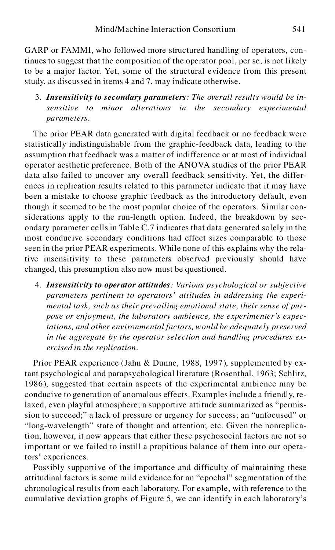GARP or FAMMI, who followed more structured handling of operators, continues to suggest that the composition of the operator pool, per se, is not likely to be a major factor. Yet, some of the structural evidence from this present study, as discussed in items 4 and 7, may indicate otherwise.

3. *Insensitivity to secondary parameters: The overall results would be insensitive to minor alterations in the secondary experimental parameters*.

The prior PEAR data generated with digital feedback or no feedback were statistically indistinguishable from the graphic-feedback data, leading to the assumption that feedback was a matter of indifference or at most of individual operator aesthetic preference. Both of the ANOVA studies of the prior PEAR data also failed to uncover any overall feedback sensitivity. Yet, the differ ences in replication results related to this parameter indicate that it may have been a mistake to choose graphic feedback as the introductory default, even though it seemed to be the most popular choice of the operators. Similar considerations apply to the run-length option. Indeed, the breakdown by sec ondary parameter cells in Table C.7 indicates that data generated solely in the most conducive secondary conditions had effect sizes comparable to those seen in the prior PEAR experiments. While none of this explains why the relative insensitivity to these parameters observed previously should have changed, this presumption also now must be questioned.

4. *Insensitivity to operator attitudes: Various psychological or subjective parameters pertinent to operators' attitudes in addressing the experi mental task, such as their prevailing emotional state, their sense of pur pose or enjoyment, the laboratory ambience, the experimenter's expectations, and other environmental factors, would be adequately preserved in the aggregate by the operator selection and handling procedures ex ercised in the replication*.

Prior PEAR experience (Jahn & Dunne, 1988, 1997), supplemented by extant psychological and parapsychological literature (Rosenthal, 1963; Schlitz, 1986), suggested that certain aspects of the experimental ambience may be conducive to generation of anomalous effects. Examples include a friendly, relaxed, even playful atmosphere; a supportive attitude summarized as "permission to succeed;" a lack of pressure or urgency for success; an "unfocused" or "long-wavelength" state of thought and attention; etc. Given the nonreplication, however, it now appears that either these psychosocial factors are not so important or we failed to instill a propitious balance of them into our operators' experiences.

Possibly supportive of the importance and difficulty of maintaining these attitudinal factors is some mild evidence for an "epochal" segmentation of the chronological results from each laboratory. For example, with reference to the cumulative deviation graphs of Figure 5, we can identify in each laboratory's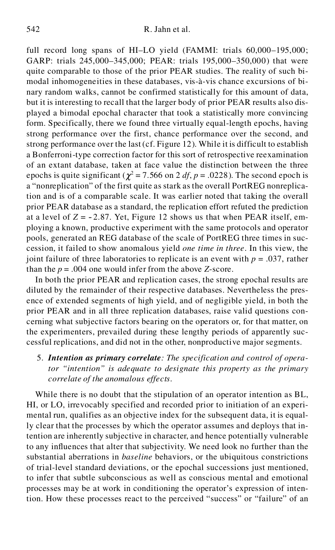full record long spans of HI–LO yield (FAMMI: trials 60,000–195,000; GARP: trials 245,000–345,000; PEAR: trials 195,000–350,000) that were quite comparable to those of the prior PEAR studies. The reality of such bi modal inhomogeneities in these databases, vis-à-vis chance excursions of bi nary random walks, cannot be confirmed statistically for this amount of data, but it is interesting to recall that the larger body of prior PEAR results also dis played a bimodal epochal character that took a statistically more convincing form. Specifically, there we found three virtually equal-length epochs, having strong performance over the first, chance performance over the second, and strong performance over the last (cf. Figure 12). While it is difficult to establish a Bonferroni-type correction factor for this sort of retrospective reexamination of an extant database, taken at face value the distinction between the three epochs is quite significant ( $\chi^2$  = 7.566 on 2 *df*, *p* = .0228). The second epoch is a "nonreplication" of the first quite as stark as the overall PortREG nonreplication and is of a comparable scale. It was earlier noted that taking the overall prior PEAR database as a standard, the replication effort refuted the prediction at a level of  $Z = -2.87$ . Yet, Figure 12 shows us that when PEAR itself, employing a known, productive experiment with the same protocols and operator pools, generated an REG database of the scale of PortREG three times in suc cession, it failed to show anomalous yield *one time in three*. In this view, the joint failure of three laboratories to replicate is an event with *p* = .037, rather than the  $p = .004$  one would infer from the above *Z*-score.

In both the prior PEAR and replication cases, the strong epochal results are diluted by the remainder of their respective databases. Nevertheless the pres ence of extended segments of high yield, and of negligible yield, in both the prior PEAR and in all three replication databases, raise valid questions con cerning what subjective factors bearing on the operators or, for that matter, on the experimenters, prevailed during these lengthy periods of apparently suc cessful replications, and did not in the other, nonproductive major segments.

5. *Intention as primary correlate: The specification and control of operator "intention" is adequate to designate this property as the primary correlate of the anomalous effects*.

While there is no doubt that the stipulation of an operator intention as BL, HI, or LO, irrevocably specified and recorded prior to initiation of an experi mental run, qualifies as an objective index for the subsequent data, it is equally clear that the processes by which the operator assumes and deploys that intention are inherently subjective in character, and hence potentially vulnerable to any influences that alter that subjectivity. We need look no further than the substantial aberrations in *baseline* behaviors, or the ubiquitous constrictions of trial-level standard deviations, or the epochal successions just mentioned, to infer that subtle subconscious as well as conscious mental and emotional processes may be at work in conditioning the operator's expression of intention. How these processes react to the perceived "success" or "failure" of an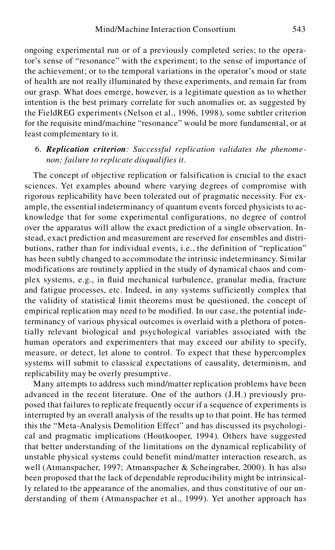ongoing experimental run or of a previously completed series; to the operator's sense of "resonance" with the experiment; to the sense of importance of the achievement; or to the temporal variations in the operator's mood or state of health are not really illuminated by these experiments, and remain far from our grasp. What does emerge, however, is a legitimate question as to whether intention is the best primary correlate for such anomalies or, as suggested by the FieldREG experiments (Nelson et al., 1996, 1998), some subtler criterion for the requisite mind/machine "resonance" would be more fundamental, or at least complementary to it.

# 6. *Replication criterion: Successful replication validates the phenome non; failure to replicate disqualifies it*.

The concept of objective replication or falsification is crucial to the exact sciences. Yet examples abound where varying degrees of compromise with rigorous replicability have been tolerated out of pragmatic necessity. For ex ample, the essential indeterminancy of quantum events forced physicists to ac knowledge that for some experimental configurations, no degree of control over the apparatus will allow the exact prediction of a single observation. Instead, exact prediction and measurement are reserved for ensembles and distri butions, rather than for individual events, i.e., the definition of "replication" has been subtly changed to accommodate the intrinsic indeterminancy. Similar modifications are routinely applied in the study of dynamical chaos and com plex systems, e.g., in fluid mechanical turbulence, granular media, fracture and fatigue processes, etc. Indeed, in any systems sufficiently complex that the validity of statistical limit theorems must be questioned, the concept of empirical replication may need to be modified. In our case, the potential indeterminancy of various physical outcomes is overlaid with a plethora of potentially relevant biological and psychological variables associated with the human operators and experimenters that may exceed our ability to specify, measure, or detect, let alone to control. To expect that these hypercomplex systems will submit to classical expectations of causality, determinism, and replicability may be overly presumptive.

Many attempts to address such mind/matter replication problems have been advanced in the recent literature. One of the authors (J.H.) previously pro posed that failures to replicate frequently occur if a sequence of experiments is interrupted by an overall analysis of the results up to that point. He has termed this the "Meta-Analysis Demolition Effect" and has discussed its psychologi cal and pragmatic implications (Houtkooper, 1994). Others have suggested that better understanding of the limitations on the dynamical replicability of unstable physical systems could benefit mind/matter interaction research, as well (Atmanspacher, 1997; Atmanspacher & Scheingraber, 2000). It has also been proposed that the lack of dependable reproducibility might be intrinsically related to the appearance of the anomalies, and thus constitutive of our un derstanding of them (Atmanspacher et al., 1999). Yet another approach has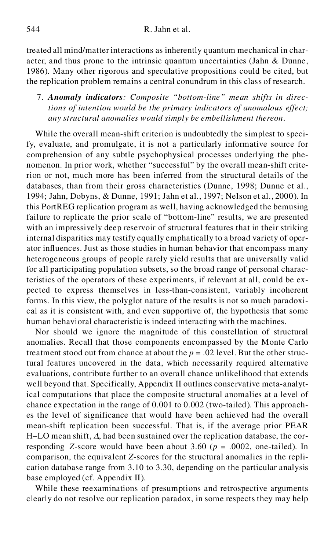treated all mind/matter interactions as inherently quantum mechanical in char acter, and thus prone to the intrinsic quantum uncertainties (Jahn & Dunne, 1986). Many other rigorous and speculative propositions could be cited, but the replication problem remains a central conundrum in this class of research.

7. *Anomaly indicators: Composite "bottom-line" mean shifts in directions of intention would be the primary indicators of anomalous effect; any structural anomalies would simply be embellishment thereon*.

While the overall mean-shift criterion is undoubtedly the simplest to specify, evaluate, and promulgate, it is not a particularly informative source for comprehension of any subtle psychophysical processes underlying the phe nomenon. In prior work, whether "successful" by the overall mean-shift criterion or not, much more has been inferred from the structural details of the databases, than from their gross characteristics (Dunne, 1998; Dunne et al., 1994; Jahn, Dobyns, & Dunne, 1991; Jahn et al., 1997; Nelson et al., 2000). In this PortREG replication program as well, having acknowledged the bemusing failure to replicate the prior scale of "bottom-line" results, we are presented with an impressively deep reservoir of structural features that in their striking internal disparities may testify equally emphatically to a broad variety of oper ator influences. Just as those studies in human behavior that encompass many heterogeneous groups of people rarely yield results that are universally valid for all participating population subsets, so the broad range of personal characteristics of the operators of these experiments, if relevant at all, could be ex pected to express themselves in less-than-consistent, variably incoherent forms. In this view, the polyglot nature of the results is not so much paradoxi cal as it is consistent with, and even supportive of, the hypothesis that some human behavioral characteristic is indeed interacting with the machines.

Nor should we ignore the magnitude of this constellation of structural anomalies. Recall that those components encompassed by the Monte Carlo treatment stood out from chance at about the  $p = .02$  level. But the other structural features uncovered in the data, which necessarily required alternative evaluations, contribute further to an overall chance unlikelihood that extends well beyond that. Specifically, Appendix II outlines conservative meta-analytical computations that place the composite structural anomalies at a level of chance expectation in the range of 0.001 to 0.002 (two-tailed). This approach es the level of significance that would have been achieved had the overall mean-shift replication been successful. That is, if the average prior PEAR H–LO mean shift,  $\Delta$ , had been sustained over the replication database, the corresponding *Z*-score would have been about 3.60 ( $p = .0002$ , one-tailed). In comparison, the equivalent *Z*-scores for the structural anomalies in the repli cation database range from 3.10 to 3.30, depending on the particular analysis base employed (cf. Appendix II).

While these reexaminations of presumptions and retrospective arguments clearly do not resolve our replication paradox, in some respects they may help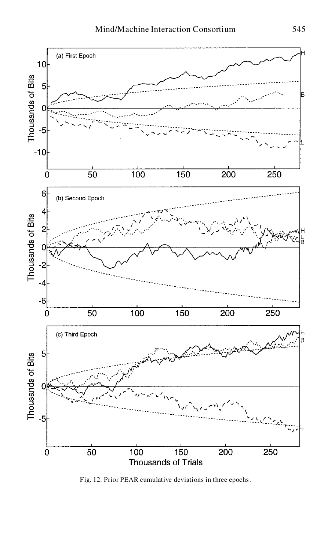

Fig. 12. Prior PEAR cumulative deviations in three epochs.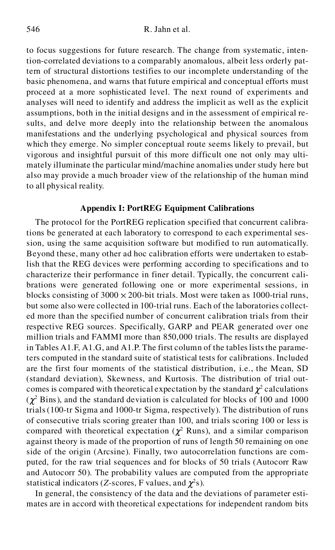to focus suggestions for future research. The change from systematic, intention-correlated deviations to a comparably anomalous, albeit less orderly pattern of structural distortions testifies to our incomplete understanding of the basic phenomena, and warns that future empirical and conceptual efforts must proceed at a more sophisticated level. The next round of experiments and analyses will need to identify and address the implicit as well as the explicit assumptions, both in the initial designs and in the assessment of empirical results, and delve more deeply into the relationship between the anomalous manifestations and the underlying psychological and physical sources from which they emerge. No simpler conceptual route seems likely to prevail, but vigorous and insightful pursuit of this more difficult one not only may ulti mately illuminate the particular mind/machine anomalies under study here but also may provide a much broader view of the relationship of the human mind to all physical reality.

#### **Appendix I: PortREG Equipment Calibrations**

The protocol for the PortREG replication specified that concurrent calibrations be generated at each laboratory to correspond to each experimental session, using the same acquisition software but modified to run automatically. Beyond these, many other ad hoc calibration efforts were undertaken to establish that the REG devices were performing according to specifications and to characterize their performance in finer detail. Typically, the concurrent cali brations were generated following one or more experimental sessions, in blocks consisting of  $3000 \times 200$ -bit trials. Most were taken as 1000-trial runs, but some also were collected in 100-trial runs. Each of the laboratories collect ed more than the specified number of concurrent calibration trials from their respective REG sources. Specifically, GARP and PEAR generated over one million trials and FAMMI more than 850,000 trials. The results are displayed in Tables A1.F, A1.G, and A1.P. The first column of the tables lists the parameters computed in the standard suite of statistical tests for calibrations. Included are the first four moments of the statistical distribution, i.e., the Mean, SD (standard deviation), Skewness, and Kurtosis. The distribution of trial out comes is compared with theoretical expectation by the standard  $\chi^2$  calculations  $(\chi^2$  Bins), and the standard deviation is calculated for blocks of 100 and 1000 trials (100-tr Sigma and 1000-tr Sigma, respectively). The distribution of runs of consecutive trials scoring greater than 100, and trials scoring 100 or less is compared with theoretical expectation ( $\chi^2$  Runs), and a similar comparison against theory is made of the proportion of runs of length 50 remaining on one side of the origin (Arcsine). Finally, two autocorrelation functions are com puted, for the raw trial sequences and for blocks of 50 trials (Autocorr Raw and Autocorr 50). The probability values are computed from the appropriate statistical indicators (*Z*-scores, F values, and  $\chi^2$ s).

In general, the consistency of the data and the deviations of parameter esti mates are in accord with theoretical expectations for independent random bits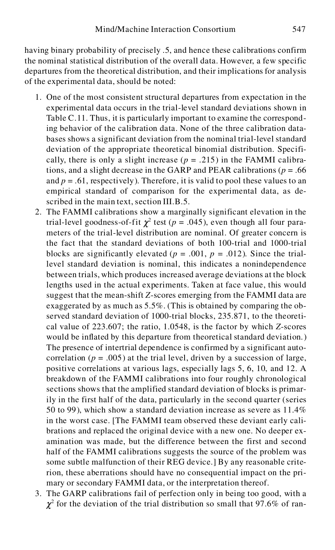having binary probability of precisely .5, and hence these calibrations confirm the nominal statistical distribution of the overall data. However, a few specific departures from the theoretical distribution, and their implications for analysis of the experimental data, should be noted:

- 1. One of the most consistent structural departures from expectation in the experimental data occurs in the trial-level standard deviations shown in Table C.11. Thus, it is particularly important to examine the corresponding behavior of the calibration data. None of the three calibration data bases shows a significant deviation from the nominal trial-level standard deviation of the appropriate theoretical binomial distribution. Specifi cally, there is only a slight increase  $(p = .215)$  in the FAMMI calibrations, and a slight decrease in the GARP and PEAR calibrations ( $p = .66$ ) and  $p = 0.61$ , respectively). Therefore, it is valid to pool these values to an empirical standard of comparison for the experimental data, as described in the main text, section III.B.5.
- 2. The FAMMI calibrations show a marginally significant elevation in the trial-level goodness-of-fit  $\chi^2$  test ( $p = .045$ ), even though all four parameters of the trial-level distribution are nominal. Of greater concern is the fact that the standard deviations of both 100-trial and 1000-trial blocks are significantly elevated ( $p = .001$ ,  $p = .012$ ). Since the triallevel standard deviation is nominal, this indicates a nonindependence between trials, which produces increased average deviations at the block lengths used in the actual experiments. Taken at face value, this would suggest that the mean-shift *Z*-scores emerging from the FAMMI data are exaggerated by as much as 5.5%. (This is obtained by comparing the observed standard deviation of 1000-trial blocks, 235.871, to the theoreti cal value of 223.607; the ratio, 1.0548, is the factor by which *Z*-scores would be inflated by this departure from theoretical standard deviation.) The presence of intertrial dependence is confirmed by a significant auto correlation ( $p = .005$ ) at the trial level, driven by a succession of large, positive correlations at various lags, especially lags 5, 6, 10, and 12. A breakdown of the FAMMI calibrations into four roughly chronological sections shows that the amplified standard deviation of blocks is primarily in the first half of the data, particularly in the second quarter (series 50 to 99), which show a standard deviation increase as severe as 11.4% in the worst case. [The FAMMI team observed these deviant early cali brations and replaced the original device with a new one. No deeper ex amination was made, but the difference between the first and second half of the FAMMI calibrations suggests the source of the problem was some subtle malfunction of their REG device.] By any reasonable criterion, these aberrations should have no consequential impact on the pri mary or secondary FAMMI data, or the interpretation thereof.
- 3. The GARP calibrations fail of perfection only in being too good, with a  $\chi^2$  for the deviation of the trial distribution so small that 97.6% of ran-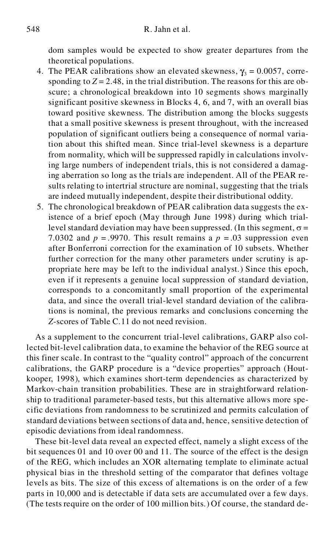dom samples would be expected to show greater departures from the theoretical populations.

- 4. The PEAR calibrations show an elevated skewness,  $\gamma_3 = 0.0057$ , corresponding to  $Z = 2.48$ , in the trial distribution. The reasons for this are obscure; a chronological breakdown into 10 segments shows marginally significant positive skewness in Blocks 4, 6, and 7, with an overall bias toward positive skewness. The distribution among the blocks suggests that a small positive skewness is present throughout, with the increased population of significant outliers being a consequence of normal variation about this shifted mean. Since trial-level skewness is a departure from normality, which will be suppressed rapidly in calculations involving large numbers of independent trials, this is not considered a damaging aberration so long as the trials are independent. All of the PEAR results relating to intertrial structure are nominal, suggesting that the trials are indeed mutually independent, despite their distributional oddity.
- 5. The chronological breakdown of PEAR calibration data suggests the existence of a brief epoch (May through June 1998) during which triallevel standard deviation may have been suppressed. (In this segment,  $\sigma$  = 7.0302 and  $p = .9970$ . This result remains a  $p = .03$  suppression even after Bonferroni correction for the examination of 10 subsets. Whether further correction for the many other parameters under scrutiny is ap propriate here may be left to the individual analyst.) Since this epoch, even if it represents a genuine local suppression of standard deviation, corresponds to a concomitantly small proportion of the experimental data, and since the overall trial-level standard deviation of the calibrations is nominal, the previous remarks and conclusions concerning the *Z*-scores of Table C.11 do not need revision.

As a supplement to the concurrent trial-level calibrations, GARP also collected bit-level calibration data, to examine the behavior of the REG source at this finer scale. In contrast to the "quality control" approach of the concurrent calibrations, the GARP procedure is a "device properties" approach (Hout kooper, 1998), which examines short-term dependencies as characterized by Markov-chain transition probabilities. These are in straightforward relationship to traditional parameter-based tests, but this alternative allows more spe cific deviations from randomness to be scrutinized and permits calculation of standard deviations between sections of data and, hence, sensitive detection of episodic deviations from ideal randomness.

These bit-level data reveal an expected effect, namely a slight excess of the bit sequences 01 and 10 over 00 and 11. The source of the effect is the design of the REG, which includes an XOR alternating template to eliminate actual physical bias in the threshold setting of the comparator that defines voltage levels as bits. The size of this excess of alternations is on the order of a few parts in 10,000 and is detectable if data sets are accumulated over a few days. (The tests require on the order of 100 million bits.) Of course, the standard de-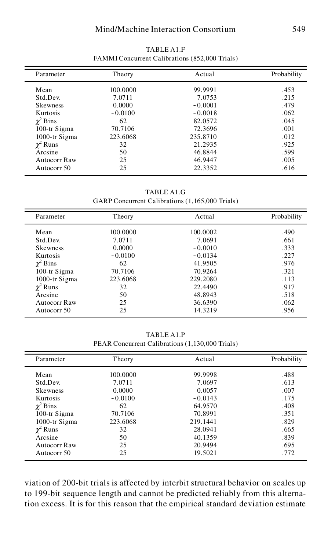### Mind/Machine Interaction Consortium 549

| Parameter       | Theory    | Actual    | Probability |
|-----------------|-----------|-----------|-------------|
| Mean            | 100.0000  | 99.9991   | .453        |
| Std.Dev.        | 7.0711    | 7.0753    | .215        |
| <b>Skewness</b> | 0.0000    | $-0.0001$ | .479        |
| Kurtosis        | $-0.0100$ | $-0.0018$ | .062        |
| $\chi^2$ Bins   | 62        | 82.0572   | .045        |
| 100-tr Sigma    | 70.7106   | 72.3696   | .001        |
| 1000-tr Sigma   | 223.6068  | 235.8710  | .012        |
| $\chi^2$ Runs   | 32        | 21.2935   | .925        |
| Arcsine         | 50        | 46.8844   | .599        |
| Autocorr Raw    | 25        | 46.9447   | .005        |
| Autocorr 50     | 25        | 22.3352   | .616        |

TABLE A1.F FAMMI Concurrent Calibrations (852,000 Trials)

TABLE A1.G GARP Concurrent Calibrations (1,165,000 Trials)

| Parameter       | Theory    | Actual    | Probability |
|-----------------|-----------|-----------|-------------|
| Mean            | 100,0000  | 100.0002  | .490        |
| Std.Dev.        | 7.0711    | 7.0691    | .661        |
| <b>Skewness</b> | 0.0000    | $-0.0010$ | .333        |
| Kurtosis        | $-0.0100$ | $-0.0134$ | .227        |
| $\chi^2$ Bins   | 62        | 41.9505   | .976        |
| 100-tr Sigma    | 70.7106   | 70.9264   | .321        |
| 1000-tr Sigma   | 223.6068  | 229.2080  | .113        |
| $\chi^2$ Runs   | 32        | 22.4490   | .917        |
| Arcsine         | 50        | 48.8943   | .518        |
| Autocorr Raw    | 25        | 36.6390   | .062        |
| Autocorr 50     | 25        | 14.3219   | .956        |

TABLE A1.P PEAR Concurrent Calibrations (1,130,000 Trials)

| Parameter       | Theory    | Actual    | Probability |
|-----------------|-----------|-----------|-------------|
| Mean            | 100.0000  | 99.9998   | .488        |
| Std.Dev.        | 7.0711    | 7.0697    | .613        |
| <b>Skewness</b> | 0.0000    | 0.0057    | .007        |
| Kurtosis        | $-0.0100$ | $-0.0143$ | .175        |
| $\chi^2$ Bins   | 62        | 64.9570   | .408        |
| 100-tr Sigma    | 70.7106   | 70.8991   | .351        |
| 1000-tr Sigma   | 223.6068  | 219.1441  | .829        |
| $\chi^2$ Runs   | 32        | 28.0941   | .665        |
| Arcsine         | 50        | 40.1359   | .839        |
| Autocorr Raw    | 25        | 20.9494   | .695        |
| Autocorr 50     | 25        | 19.5021   | .772        |

viation of 200-bit trials is affected by interbit structural behavior on scales up to 199-bit sequence length and cannot be predicted reliably from this alternation excess. It is for this reason that the empirical standard deviation estimate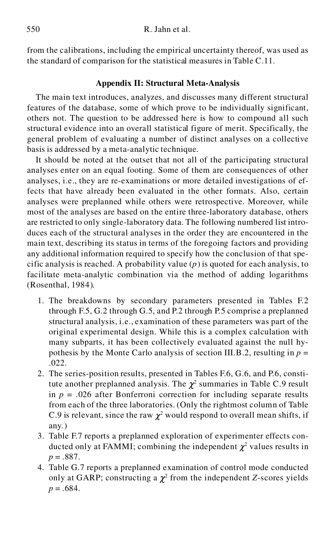from the calibrations, including the empirical uncertainty thereof, was used as the standard of comparison for the statistical measures in Table C.11.

## **Appendix II: Structural Meta-Analysis**

The main text introduces, analyzes, and discusses many different structural features of the database, some of which prove to be individually significant, others not. The question to be addressed here is how to compound all such structural evidence into an overall statistical figure of merit. Specifically, the general problem of evaluating a number of distinct analyses on a collective basis is addressed by a meta-analytic technique.

It should be noted at the outset that not all of the participating structural analyses enter on an equal footing. Some of them are consequences of other analyses, i.e., they are re-examinations or more detailed investigations of effects that have already been evaluated in the other formats. Also, certain analyses were preplanned while others were retrospective. Moreover, while most of the analyses are based on the entire three-laboratory database, others are restricted to only single-laboratory data. The following numbered list intro duces each of the structural analyses in the order they are encountered in the main text, describing its status in terms of the foregoing factors and providing any additional information required to specify how the conclusion of that spe cific analysis is reached. A probability value (*p*) is quoted for each analysis, to facilitate meta-analytic combination via the method of adding logarithms (Rosenthal, 1984).

- 1. The breakdowns by secondary parameters presented in Tables F.2 through F.5, G.2 through G.5, and P.2 through P.5 comprise a preplanned structural analysis, i.e., examination of these parameters was part of the original experimental design. While this is a complex calculation with many subparts, it has been collectively evaluated against the null hy pothesis by the Monte Carlo analysis of section III.B.2, resulting in *p* = .022.
- 2. The series-position results, presented in Tables F.6, G.6, and P.6, constitute another preplanned analysis. The  $\chi^2$  summaries in Table C.9 result in  $p = 0.026$  after Bonferroni correction for including separate results from each of the three laboratories. (Only the rightmost column of Table C.9 is relevant, since the raw  $\chi^2$  would respond to overall mean shifts, if any.)
- 3. Table F.7 reports a preplanned exploration of experimenter effects con ducted only at FAMMI; combining the independent  $\chi^2$  values results in  $p = .887$ .
- 4. Table G.7 reports a preplanned examination of control mode conducted only at GARP; constructing a  $\chi^2$  from the independent *Z*-scores yields  $p = .684$ .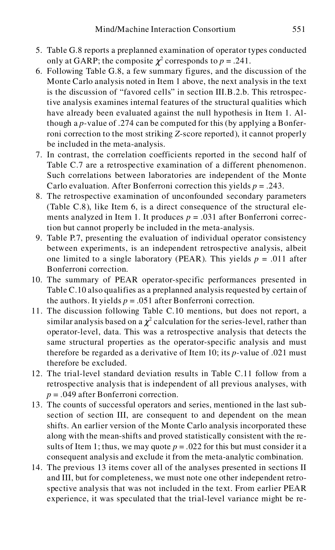- 5. Table G.8 reports a preplanned examination of operator types conducted only at GARP; the composite  $\chi^2$  corresponds to  $p = .241$ .
- 6. Following Table G.8, a few summary figures, and the discussion of the Monte Carlo analysis noted in Item 1 above, the next analysis in the text is the discussion of "favored cells" in section III.B.2.b. This retrospective analysis examines internal features of the structural qualities which have already been evaluated against the null hypothesis in Item 1. Although a *p-*value of .274 can be computed for this (by applying a Bonferroni correction to the most striking *Z*-score reported), it cannot properly be included in the meta-analysis.
- 7. In contrast, the correlation coefficients reported in the second half of Table C.7 are a retrospective examination of a different phenomenon. Such correlations between laboratories are independent of the Monte Carlo evaluation. After Bonferroni correction this yields  $p = .243$ .
- 8. The retrospective examination of unconfounded secondary parameters (Table C.8), like Item 6, is a direct consequence of the structural ele ments analyzed in Item 1. It produces  $p = .031$  after Bonferroni correction but cannot properly be included in the meta-analysis.
- 9. Table P.7, presenting the evaluation of individual operator consistency between experiments, is an independent retrospective analysis, albeit one limited to a single laboratory (PEAR). This yields  $p = .011$  after Bonferroni correction.
- 10. The summary of PEAR operator-specific performances presented in Table C.10 also qualifies as a preplanned analysis requested by certain of the authors. It yields  $p = .051$  after Bonferroni correction.
- 11. The discussion following Table C.10 mentions, but does not report, a similar analysis based on a  $\chi^2$  calculation for the series-level, rather than operator-level, data. This was a retrospective analysis that detects the same structural properties as the operator-specific analysis and must therefore be regarded as a derivative of Item 10; its *p-*value of .021 must therefore be excluded.
- 12. The trial-level standard deviation results in Table C.11 follow from a retrospective analysis that is independent of all previous analyses, with *p* = .049 after Bonferroni correction.
- 13. The counts of successful operators and series, mentioned in the last subsection of section III, are consequent to and dependent on the mean shifts. An earlier version of the Monte Carlo analysis incorporated these along with the mean-shifts and proved statistically consistent with the results of Item 1; thus, we may quote  $p = 0.022$  for this but must consider it a consequent analysis and exclude it from the meta-analytic combination.
- 14. The previous 13 items cover all of the analyses presented in sections II and III, but for completeness, we must note one other independent retrospective analysis that was not included in the text. From earlier PEAR experience, it was speculated that the trial-level variance might be re-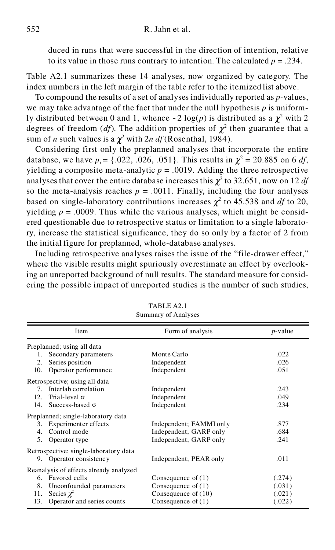duced in runs that were successful in the direction of intention, relative to its value in those runs contrary to intention. The calculated  $p = .234$ .

Table A2.1 summarizes these 14 analyses, now organized by category. The index numbers in the left margin of the table refer to the itemized list above.

To compound the results of a set of analyses individually reported as *p-*values, we may take advantage of the fact that under the null hypothesis *p* is uniformly distributed between 0 and 1, whence  $-2 \log(p)$  is distributed as a  $\chi^2$  with 2 degrees of freedom (*df*). The addition properties of  $\chi^2$  then guarantee that a sum of *n* such values is a  $\chi^2$  with 2*n df* (Rosenthal, 1984).

Considering first only the preplanned analyses that incorporate the entire database, we have  $p_i = \{.022, .026, .051\}$ . This results in  $\chi^2 = 20.885$  on 6 *df*, yielding a composite meta-analytic  $p = .0019$ . Adding the three retrospective analyses that cover the entire database increases this  $\chi^2$  to 32.651, now on 12 *df* so the meta-analysis reaches  $p = .0011$ . Finally, including the four analyses based on single-laboratory contributions increases  $\chi^2$  to 45.538 and *df* to 20, yielding  $p = .0009$ . Thus while the various analyses, which might be considered questionable due to retrospective status or limitation to a single laboratory, increase the statistical significance, they do so only by a factor of 2 from the initial figure for preplanned, whole-database analyses.

Including retrospective analyses raises the issue of the "file-drawer effect," where the visible results might spuriously overestimate an effect by overlooking an unreported background of null results. The standard measure for consid ering the possible impact of unreported studies is the number of such studies,

| $50$ and $\frac{1}{2}$ or $\frac{1}{2}$ and $\frac{1}{2}$ $\frac{1}{2}$ |                                        |                         |            |  |  |
|-------------------------------------------------------------------------|----------------------------------------|-------------------------|------------|--|--|
|                                                                         | Item                                   | Form of analysis        | $p$ -value |  |  |
|                                                                         | Preplanned; using all data             |                         |            |  |  |
| 1.                                                                      | Secondary parameters                   | Monte Carlo             | .022       |  |  |
| 2.                                                                      | Series position                        | Independent             | .026       |  |  |
| 10.                                                                     | Operator performance                   | Independent             | .051       |  |  |
|                                                                         | Retrospective; using all data          |                         |            |  |  |
|                                                                         | 7. Interlab correlation                | Independent             | .243       |  |  |
| 12.                                                                     | Trial-level $\sigma$                   | Independent             | .049       |  |  |
| 14.                                                                     | Success-based $\sigma$                 | Independent             | .234       |  |  |
|                                                                         | Preplanned; single-laboratory data     |                         |            |  |  |
| 3.                                                                      | Experimenter effects                   | Independent; FAMMI only | .877       |  |  |
| 4.                                                                      | Control mode                           | Independent; GARP only  | .684       |  |  |
| 5.                                                                      | Operator type                          | Independent; GARP only  | .241       |  |  |
|                                                                         | Retrospective; single-laboratory data  |                         |            |  |  |
|                                                                         | 9. Operator consistency                | Independent; PEAR only  | .011       |  |  |
|                                                                         | Reanalysis of effects already analyzed |                         |            |  |  |
|                                                                         | 6. Favored cells                       | Consequence of $(1)$    | (.274)     |  |  |
| 8.                                                                      | Unconfounded parameters                | Consequence of $(1)$    | (.031)     |  |  |
| 11.                                                                     | Series $\chi^2$                        | Consequence of $(10)$   | (.021)     |  |  |
| 13.                                                                     | Operator and series counts             | Consequence of $(1)$    | (.022)     |  |  |

TABLE A2.1 Summary of Analyses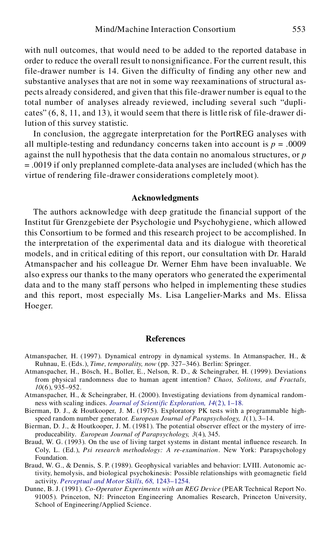with null outcomes, that would need to be added to the reported database in order to reduce the overall result to nonsignificance. For the current result, this file-drawer number is 14. Given the difficulty of finding any other new and substantive analyses that are not in some way reexaminations of structural as pects already considered, and given that this file-drawer number is equal to the total number of analyses already reviewed, including several such "dupli cates" (6, 8, 11, and 13), it would seem that there is little risk of file-drawer dilution of this survey statistic.

In conclusion, the aggregate interpretation for the PortREG analyses with all multiple-testing and redundancy concerns taken into account is  $p = .0009$ against the null hypothesis that the data contain no anomalous structures, or *p* = .0019 if only preplanned complete-data analyses are included (which has the virtue of rendering file-drawer considerations completely moot).

#### **Acknowledgments**

The authors acknowledge with deep gratitude the financial support of the Institut für Grenzgebiete der Psychologie und Psychohygiene, which allowed this Consortium to be formed and this research project to be accomplished. In the interpretation of the experimental data and its dialogue with theoretical models, and in critical editing of this report, our consultation with Dr. Harald Atmanspacher and his colleague Dr. Werner Ehm have been invaluable. We also express our thanks to the many operators who generated the experimental data and to the many staff persons who helped in implementing these studies and this report, most especially Ms. Lisa Langelier-Marks and Ms. Elissa Hoeger.

#### **References**

- Atmanspacher, H. (1997). Dynamical entropy in dynamical systems. In Atmanspacher, H., & Ruhnau, E. (Eds.), *Time, temporality, now* (pp. 327–346). Berlin: Springer.
- Atmanspacher, H., Bösch, H., Boller, E., Nelson, R. D., & Scheingraber, H. (1999). Deviations from physical randomness due to human agent intention? *Chaos, Solitons, and Fractals, 10*(6), 935–952.
- Atmanspacher, H., & Scheingraber, H. (2000). Investigating deviations from dynamical random ness with scaling indices. *[Journal of Scientific Exploration, 14](http://alidoro.catchword.com/nw=1/rpsv/cgi-bin/linker?ext=a&reqidx=/0892-3310^28^2914:2L.1[aid=883920])*(2), 1–18.
- Bierman, D. J., & Houtkooper, J. M. (1975). Exploratory PK tests with a programmable high speed random number generator. *European Journal of Parapsychology, 1*(1), 3–14.
- Bierman, D. J., & Houtkooper, J. M. (1981). The potential observer effect or the mystery of irre produceability. *European Journal of Parapsychology, 3*(4), 345.
- Braud, W. G. (1993). On the use of living target systems in distant mental influence research. In Coly, L. (Ed.), *Psi research methodology: A re-examination.* New York: Parapsychology Foundation.
- Braud, W. G., & Dennis, S. P. (1989). Geophysical variables and behavior: LVIII. Autonomic activity, hemolysis, and biological psychokinesis: Possible relationships with geomagnetic field activity. *[Perceptual and Motor Skills, 68,](http://alidoro.catchword.com/nw=1/rpsv/cgi-bin/linker?ext=a&reqidx=/0031-5125^28^2968L.1243[aid=883923,nlm=2762088])* 1243–1254.
- Dunne, B. J. (1991). *Co-Operator Experiments with an REG Device* (PEAR Technical Report No. 91005). Princeton, NJ: Princeton Engineering Anomalies Research, Princeton University, School of Engineering/Applied Science.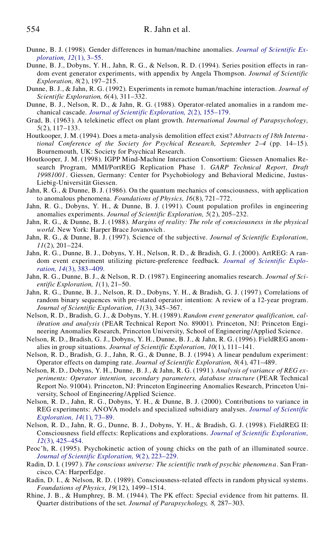- Du[nne, B. J. \(1998\). Gender differences in human/machine anomalies.](http://alidoro.catchword.com/nw=1/rpsv/cgi-bin/linker?ext=a&reqidx=/0892-3310^28^2912:1L.3[aid=569342,csa=0892-3310^26vol=12^26iss=1^26firstpage=3,cw=1]) *[Journal of Scientific Ex](http://alidoro.catchword.com/nw=1/rpsv/cgi-bin/linker?ext=a&reqidx=/0892-3310^28^2912:1L.3[aid=569342,csa=0892-3310^26vol=12^26iss=1^26firstpage=3,cw=1]) ploration, 12*(1), 3–55.
- Dunne, B. J., Dobyns, Y. H., Jahn, R. G., & Nelson, R. D. (1994). Series position effects in ran dom event generator experiments, with appendix by Angela Thompson. *Journal of Scientific Exploration, 8*(2), 197–215.
- Dunne, B. J., & Jahn, R. G. (1992). Experiments in remote human/machine interaction. *Journal of Scientific Exploration, 6*(4), 311–332.
- Dunne, B. J., Nelson, R. D., & Jahn, R. G. (1988). Operator-related anomalies in a random me chanical cascade. *[Journal of Scientific Exploration, 2](http://alidoro.catchword.com/nw=1/rpsv/cgi-bin/linker?ext=a&reqidx=/0892-3310^28^292:2L.155[aid=568914])*(2), 155–179.
- Grad, B. (1963). A telekinetic effect on plant growth. *International Journal of Parapsychology, 5*(2), 117–133.
- Houtkooper, J. M. (1994). Does a meta-analysis demolition effect exist? *Abstracts of 18th International Conference of the Society for Psychical Research, September 2–4* (pp. 14–15). Bournemouth, UK: Society for Psychical Research.
- Houtkooper, J. M. (1998). IGPP Mind-Machine Interaction Consortium: Giessen Anomalies Re search Program, MMI/PortREG Replication Phase 1. *GARP Technical Report, Draft 19981001*. Giessen, Germany: Center for Psychobiology and Behavioral Medicine, Justus- Liebig-Universität Giessen.
- Jahn, R. G., & Dunne, B. J. (1986). On the quantum mechanics of consciousness, with application to anomalous phenomena. *Foundations of Physics, 16*(8), 721–772.
- Jahn, R. G., Dobyns, Y. H., & Dunne, B. J. (1991). Count population profiles in engineering anomalies experiments. *Journal of Scientific Exploration, 5*(2), 205–232.
- Jahn, R. G., & Dunne, B. J. (1988). *Margins of reality: The role of consciousness in the physical world.* New York: Harper Brace Jovanovich .
- Jahn, R. G., & Dunne, B. J. (1997). Science of the subjective. *Journal of Scientific Exploration, 11*(2), 201–224.
- Jahn, R. G., Dunne, B. J., Dobyns, Y. H., Nelson, R. D., & Bradish, G. J. (2000). ArtREG: A ran [dom event experiment utilizing picture-preference feedback.](http://alidoro.catchword.com/nw=1/rpsv/cgi-bin/linker?ext=a&reqidx=/0892-3310^28^2914:3L.383[aid=883926,cw=1]) *[Journal of Scientific Explo](http://alidoro.catchword.com/nw=1/rpsv/cgi-bin/linker?ext=a&reqidx=/0892-3310^28^2914:3L.383[aid=883926,cw=1]) ration, 14*(3), 383–409*.*
- Jahn, R. G., Dunne, B. J., & Nelson, R. D. (1987). Engineering anomalies research. *Journal of Sci entific Exploration, 1*(1), 21–50.
- Jahn, R. G., Dunne, B. J., Nelson, R. D., Dobyns, Y. H., & Bradish, G. J. (1997). Correlations of random binary sequences with pre-stated operator intention: A review of a 12-year program. *Journal of Scientific Exploration, 11*(3), 345–367.
- Nelson, R. D., Bradish, G. J., & Dobyns, Y. H. (1989). *Random event generator qualification, calibration and analysis* (PEAR Technical Report No. 89001). Princeton, NJ: Princeton Engi neering Anomalies Research, Princeton University, School of Engineering/Applied Science.
- Nelson, R. D., Bradish, G. J., Dobyns, Y. H., Dunne, B. J., & Jahn, R. G. (1996). FieldREG anom alies in group situations. *Journal of Scientific Exploration, 10*(1), 111–141.
- Nelson, R. D., Bradish, G. J., Jahn, R. G., & Dunne, B. J. (1994). A linear pendulum experiment: Operator effects on damping rate. *Journal of Scientific Exploration, 8*(4), 471–489.
- Nelson, R. D., Dobyns, Y. H., Dunne, B. J., & Jahn, R. G. (1991). *Analysis of variance of REG ex periments: Operator intention, secondary parameters, database structure* (PEAR Technical Report No. 91004). Princeton, NJ: Princeton Engineering Anomalies Research, Princeton Uni versity, School of Engineering/Applied Science.
- Nelson, R. D., Jahn, R. G., Dobyns, Y. H., & Dunne, B. J. (2000). Contributions to variance in REG experiments: ANOVA models and specialized subsidiary analyses. *[Journal of Scientific](http://alidoro.catchword.com/nw=1/rpsv/cgi-bin/linker?ext=a&reqidx=/0892-3310^28^2914:1L.73[aid=883927,cw=1]) [Exploration, 14](http://alidoro.catchword.com/nw=1/rpsv/cgi-bin/linker?ext=a&reqidx=/0892-3310^28^2914:1L.73[aid=883927,cw=1])*(1), 73–89.
- Nelson, R. D., Jahn, R. G., Dunne, B. J., Dobyns, Y. H., & Bradish, G. J. (1998). FieldREG II: Consciousness field effects: Replications and explorations. *[Journal of Scientific Exploration,](http://alidoro.catchword.com/nw=1/rpsv/cgi-bin/linker?ext=a&reqidx=/0892-3310^28^2912:3L.425[aid=569694,cw=1]) 12*[\(3\), 425–454.](http://alidoro.catchword.com/nw=1/rpsv/cgi-bin/linker?ext=a&reqidx=/0892-3310^28^2912:3L.425[aid=569694,cw=1])
- Peoc'h, R. (1995). Psychokinetic action of young chicks on the path of an illuminated source. *[Journal of Scientific Exploration, 9](http://alidoro.catchword.com/nw=1/rpsv/cgi-bin/linker?ext=a&reqidx=/0892-3310^28^299:2L.223[aid=883928])*(2), 223–229.
- Radin, D. I*.* (1997 ). *The conscious universe: The scientific truth of psychic phenomena*. San Fran cisco, CA: HarperEdge.
- Radin, D. I., & Nelson, R. D. (1989). Consciousness-related effects in random physical systems. *Foundations of Physics, 19*(12), 1499–1514.
- Rhine, J. B., & Humphrey, B. M. (1944). The PK effect: Special evidence from hit patterns. II. Quarter distributions of the set*. Journal of Parapsychology, 8,* 287–303.